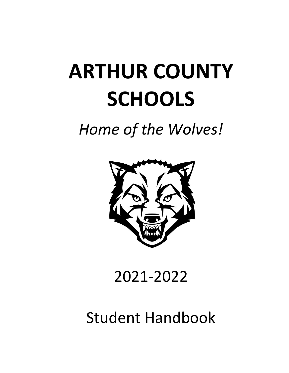# **ARTHUR COUNTY SCHOOLS**

# *Home of the Wolves!*



# 2021-2022

# Student Handbook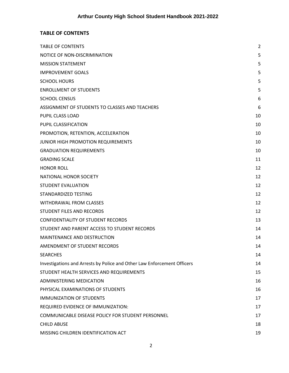# <span id="page-1-0"></span>**TABLE OF CONTENTS**

| <b>TABLE OF CONTENTS</b>                                                | 2  |
|-------------------------------------------------------------------------|----|
| NOTICE OF NON-DISCRIMINATION                                            | 5  |
| <b>MISSION STATEMENT</b>                                                | 5  |
| <b>IMPROVEMENT GOALS</b>                                                | 5  |
| <b>SCHOOL HOURS</b>                                                     | 5  |
| <b>ENROLLMENT OF STUDENTS</b>                                           | 5  |
| <b>SCHOOL CENSUS</b>                                                    | 6  |
| ASSIGNMENT OF STUDENTS TO CLASSES AND TEACHERS                          | 6  |
| PUPIL CLASS LOAD                                                        | 10 |
| PUPIL CLASSIFICATION                                                    | 10 |
| PROMOTION, RETENTION, ACCELERATION                                      | 10 |
| JUNIOR HIGH PROMOTION REQUIREMENTS                                      | 10 |
| <b>GRADUATION REQUIREMENTS</b>                                          | 10 |
| <b>GRADING SCALE</b>                                                    | 11 |
| <b>HONOR ROLL</b>                                                       | 12 |
| NATIONAL HONOR SOCIETY                                                  | 12 |
| <b>STUDENT EVALUATION</b>                                               | 12 |
| STANDARDIZED TESTING                                                    | 12 |
| <b>WITHDRAWAL FROM CLASSES</b>                                          | 12 |
| STUDENT FILES AND RECORDS                                               | 12 |
| <b>CONFIDENTIALITY OF STUDENT RECORDS</b>                               | 13 |
| STUDENT AND PARENT ACCESS TO STUDENT RECORDS                            | 14 |
| <b>MAINTENANCE AND DESTRUCTION</b>                                      | 14 |
| AMENDMENT OF STUDENT RECORDS                                            | 14 |
| <b>SEARCHES</b>                                                         | 14 |
| Investigations and Arrests by Police and Other Law Enforcement Officers | 14 |
| STUDENT HEALTH SERVICES AND REQUIREMENTS                                | 15 |
| <b>ADMINISTERING MEDICATION</b>                                         | 16 |
| PHYSICAL EXAMINATIONS OF STUDENTS                                       | 16 |
| <b>IMMUNIZATION OF STUDENTS</b>                                         | 17 |
| REQUIRED EVIDENCE OF IMMUNIZATION:                                      | 17 |
| COMMUNICABLE DISEASE POLICY FOR STUDENT PERSONNEL                       | 17 |
| <b>CHILD ABUSE</b>                                                      | 18 |
| MISSING CHILDREN IDENTIFICATION ACT                                     | 19 |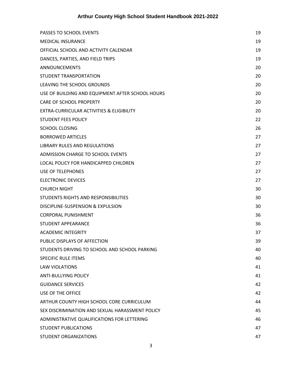| PASSES TO SCHOOL EVENTS                          | 19 |
|--------------------------------------------------|----|
| <b>MEDICAL INSURANCE</b>                         | 19 |
| OFFICIAL SCHOOL AND ACTIVITY CALENDAR            | 19 |
| DANCES, PARTIES, AND FIELD TRIPS                 | 19 |
| <b>ANNOUNCEMENTS</b>                             | 20 |
| STUDENT TRANSPORTATION                           | 20 |
| LEAVING THE SCHOOL GROUNDS                       | 20 |
| USE OF BUILDING AND EQUIPMENT AFTER SCHOOL HOURS | 20 |
| <b>CARE OF SCHOOL PROPERTY</b>                   | 20 |
| EXTRA-CURRICULAR ACTIVITIES & ELIGIBILITY        | 20 |
| <b>STUDENT FEES POLICY</b>                       | 22 |
| <b>SCHOOL CLOSING</b>                            | 26 |
| <b>BORROWED ARTICLES</b>                         | 27 |
| LIBRARY RULES AND REGULATIONS                    | 27 |
| ADMISSION CHARGE TO SCHOOL EVENTS                | 27 |
| LOCAL POLICY FOR HANDICAPPED CHILDREN            | 27 |
| USE OF TELEPHONES                                | 27 |
| <b>ELECTRONIC DEVICES</b>                        | 27 |
| <b>CHURCH NIGHT</b>                              | 30 |
| STUDENTS RIGHTS AND RESPONSIBILITIES             | 30 |
| DISCIPLINE-SUSPENSION & EXPULSION                | 30 |
| <b>CORPORAL PUNISHMENT</b>                       | 36 |
| STUDENT APPEARANCE                               | 36 |
| <b>ACADEMIC INTEGRITY</b>                        | 37 |
| PUBLIC DISPLAYS OF AFFECTION                     | 39 |
| STUDENTS DRIVING TO SCHOOL AND SCHOOL PARKING    | 40 |
| <b>SPECIFIC RULE ITEMS</b>                       | 40 |
| <b>LAW VIOLATIONS</b>                            | 41 |
| <b>ANTI-BULLYING POLICY</b>                      | 41 |
| <b>GUIDANCE SERVICES</b>                         | 42 |
| <b>USE OF THE OFFICE</b>                         | 42 |
| ARTHUR COUNTY HIGH SCHOOL CORE CURRICULUM        | 44 |
| SEX DISCRIMINATION AND SEXUAL HARASSMENT POLICY  | 45 |
| ADMINISTRATIVE QUALIFICATIONS FOR LETTERING      | 46 |
| <b>STUDENT PUBLICATIONS</b>                      | 47 |
| STUDENT ORGANIZATIONS                            | 47 |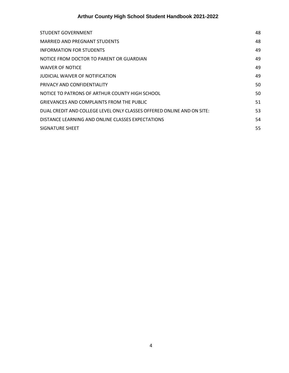| STUDENT GOVERNMENT                                                     | 48 |
|------------------------------------------------------------------------|----|
| MARRIED AND PREGNANT STUDENTS                                          | 48 |
| INFORMATION FOR STUDENTS                                               | 49 |
| NOTICE FROM DOCTOR TO PARENT OR GUARDIAN                               | 49 |
| <b>WAIVER OF NOTICE</b>                                                | 49 |
| JUDICIAL WAIVER OF NOTIFICATION                                        | 49 |
| PRIVACY AND CONFIDENTIALITY                                            | 50 |
| NOTICE TO PATRONS OF ARTHUR COUNTY HIGH SCHOOL                         | 50 |
| <b>GRIEVANCES AND COMPLAINTS FROM THE PUBLIC</b>                       | 51 |
| DUAL CREDIT AND COLLEGE LEVEL ONLY CLASSES OFFERED ONLINE AND ON SITE: | 53 |
| DISTANCE LEARNING AND ONLINE CLASSES EXPECTATIONS                      | 54 |
| SIGNATURE SHEET                                                        | 55 |
|                                                                        |    |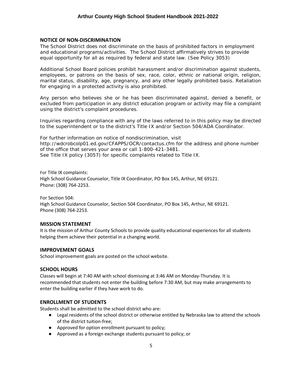# <span id="page-4-0"></span>**NOTICE OF NON-DISCRIMINATION**

The School District does not discriminate on the basis of prohibited factors in employment and educational programs/activities. The School District affirmatively strives to provide equal opportunity for all as required by federal and state law. (See Policy 3053)

Additional School Board policies prohibit harassment and/or discrimination against students, employees, or patrons on the basis of sex, race, color, ethnic or national origin, religion, marital status, disability, age, pregnancy, and any other legally prohibited basis. Retaliation for engaging in a protected activity is also prohibited.

Any person who believes she or he has been discriminated against, denied a benefit, or excluded from participation in any district education program or activity may file a complaint using the district's complaint procedures.

Inquiries regarding compliance with any of the laws referred to in this policy may be directed to the superintendent or to the district's Title IX and/or Section 504/ADA Coordinator.

For further information on notice of nondiscrimination, visit http://wdcrobcolp01.ed.gov/CFAPPS/OCR/contactus.cfm for the address and phone number of the office that serves your area or call 1-800-421-3481. See Title IX policy (3057) for specific complaints related to Title IX.

For Title IX complaints: High School Guidance Counselor, Title IX Coordinator, PO Box 145, Arthur, NE 69121. Phone: (308) 764-2253.

For Section 504: High School Guidance Counselor, Section 504 Coordinator, PO Box 145, Arthur, NE 69121. Phone (308) 764-2253.

#### <span id="page-4-1"></span>**MISSION STATEMENT**

It is the mission of Arthur County Schools to provide quality educational experiences for all students helping them achieve their potential in a changing world.

#### <span id="page-4-2"></span>**IMPROVEMENT GOALS**

School improvement goals are posted on the school website.

# <span id="page-4-3"></span>**SCHOOL HOURS**

Classes will begin at 7:40 AM with school dismissing at 3:46 AM on Monday-Thursday. It is recommended that students not enter the building before 7:30 AM, but may make arrangements to enter the building earlier if they have work to do.

#### <span id="page-4-4"></span>**ENROLLMENT OF STUDENTS**

Students shall be admitted to the school district who are:

- Legal residents of the school district or otherwise entitled by Nebraska law to attend the schools of the district tuition-free;
- Approved for option enrollment pursuant to policy;
- Approved as a foreign exchange students pursuant to policy; or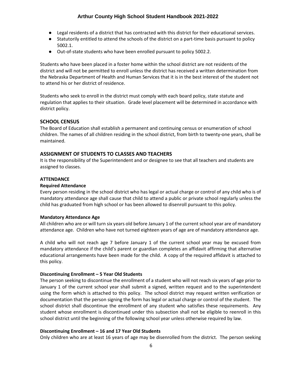- Legal residents of a district that has contracted with this district for their educational services.
- Statutorily entitled to attend the schools of the district on a part-time basis pursuant to policy 5002.1.
- Out-of-state students who have been enrolled pursuant to policy 5002.2.

Students who have been placed in a foster home within the school district are not residents of the district and will not be permitted to enroll unless the district has received a written determination from the Nebraska Department of Health and Human Services that it is in the best interest of the student not to attend his or her district of residence.

Students who seek to enroll in the district must comply with each board policy, state statute and regulation that applies to their situation. Grade level placement will be determined in accordance with district policy.

# <span id="page-5-0"></span>**SCHOOL CENSUS**

The Board of Education shall establish a permanent and continuing census or enumeration of school children. The names of all children residing in the school district, from birth to twenty-one years, shall be maintained.

# <span id="page-5-1"></span>**ASSIGNMENT OF STUDENTS TO CLASSES AND TEACHERS**

It is the responsibility of the Superintendent and or designee to see that all teachers and students are assigned to classes.

#### **ATTENDANCE**

#### **Required Attendance**

Every person residing in the school district who has legal or actual charge or control of any child who is of mandatory attendance age shall cause that child to attend a public or private school regularly unless the child has graduated from high school or has been allowed to disenroll pursuant to this policy.

#### **Mandatory Attendance Age**

All children who are or will turn six years old before January 1 of the current school year are of mandatory attendance age. Children who have not turned eighteen years of age are of mandatory attendance age.

A child who will not reach age 7 before January 1 of the current school year may be excused from mandatory attendance if the child's parent or guardian completes an affidavit affirming that alternative educational arrangements have been made for the child. A copy of the required affidavit is attached to this policy.

#### **Discontinuing Enrollment – 5 Year Old Students**

The person seeking to discontinue the enrollment of a student who will not reach six years of age prior to January 1 of the current school year shall submit a signed, written request and to the superintendent using the form which is attached to this policy. The school district may request written verification or documentation that the person signing the form has legal or actual charge or control of the student. The school district shall discontinue the enrollment of any student who satisfies these requirements. Any student whose enrollment is discontinued under this subsection shall not be eligible to reenroll in this school district until the beginning of the following school year unless otherwise required by law.

#### **Discontinuing Enrollment – 16 and 17 Year Old Students**

Only children who are at least 16 years of age may be disenrolled from the district. The person seeking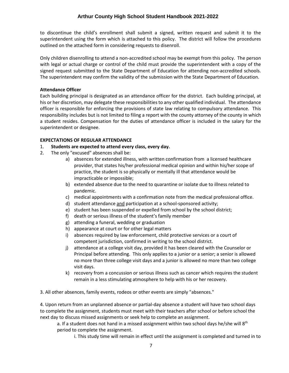to discontinue the child's enrollment shall submit a signed, written request and submit it to the superintendent using the form which is attached to this policy. The district will follow the procedures outlined on the attached form in considering requests to disenroll.

Only children disenrolling to attend a non-accredited school may be exempt from this policy. The person with legal or actual charge or control of the child must provide the superintendent with a copy of the signed request submitted to the State Department of Education for attending non-accredited schools. The superintendent may confirm the validity of the submission with the State Department of Education.

#### **Attendance Officer**

Each building principal is designated as an attendance officer for the district. Each building principal, at his or her discretion, may delegate these responsibilities to any other qualified individual. The attendance officer is responsible for enforcing the provisions of state law relating to compulsory attendance. This responsibility includes but is not limited to filing a report with the county attorney of the county in which a student resides. Compensation for the duties of attendance officer is included in the salary for the superintendent or designee.

#### **EXPECTATIONS OF REGULAR ATTENDANCE**

- 1. **Students are expected to attend every class, every day.**
- 2. The only "excused" absences shall be:
	- a) absences for extended illness, with written confirmation from a licensed healthcare provider, that states his/her professional medical opinion and within his/her scope of practice, the student is so physically or mentally ill that attendance would be impracticable or impossible;
	- b) extended absence due to the need to quarantine or isolate due to illness related to pandemic.
	- c) medical appointments with a confirmation note from the medical professional office.
	- d) student attendance and participation at a school-sponsored activity;
	- e) student has been suspended or expelled from school by the school district;
	- f) death or serious illness of the student's family member
	- g) attending a funeral, wedding or graduation
	- h) appearance at court or for other legal matters
	- i) absences required by law enforcement, child protective services or a court of competent jurisdiction, confirmed in writing to the school district.
	- j) attendance at a college visit day, provided it has been cleared with the Counselor or Principal before attending. This only applies to a junior or a senior; a senior is allowed no more than three college visit days and a junior is allowed no more than two college visit days.
	- k) recovery from a concussion or serious illness such as cancer which requires the student remain in a less stimulating atmosphere to help with his or her recovery.

3. All other absences, family events, rodeos or other events are simply "absences."

4. Upon return from an unplanned absence or partial-day absence a student will have two school days to complete the assignment, students must meet with their teachers after school or before school the next day to discuss missed assignments or seek help to complete an assignment.

a. If a student does not hand in a missed assignment within two school days he/she will  $8<sup>th</sup>$ period to complete the assignment.

i. This study time will remain in effect until the assignment is completed and turned in to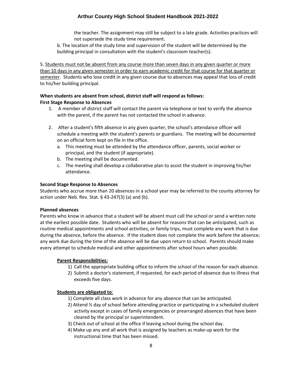the teacher. The assignment may still be subject to a late grade. Activities practices will not supersede the study time requirement.

b. The location of the study time and supervision of the student will be determined by the building principal in consultation with the student's classroom teacher(s).

5. Students must not be absent from any course more than seven days in any given quarter or more than 10 days in any given semester in order to earn academic credit for that course for that quarter or semester. Students who lose credit in any given course due to absences may appeal that loss of credit to his/her building principal.

# **When students are absent from school, district staff will respond as follows:**

# **First Stage Response to Absences**

- 1. A member of district staff will contact the parent via telephone or text to verify the absence with the parent, if the parent has not contacted the school in advance.
- 2. After a student's fifth absence in any given quarter, the school's attendance officer will schedule a meeting with the student's parents or guardians. The meeting will be documented on an official form kept on file in the office.
	- a. This meeting must be attended by the attendance officer, parents, social worker or principal, and the student (if appropriate).
	- b. The meeting shall be documented.
	- c. The meeting shall develop a collaborative plan to assist the student in improving his/her attendance.

#### **Second Stage Response to Absences**

Students who accrue more than 20 absences in a school year may be referred to the county attorney for action under Neb. Rev. Stat.  $\S$  43-247(3) (a) and (b).

#### **Planned absences**

Parents who know in advance that a student will be absent must call the school or send a written note at the earliest possible date. Students who will be absent for reasons that can be anticipated, such as routine medical appointments and school activities, or family trips, must complete any work that is due during the absence, before the absence. If the student does not complete the work before the absence; any work due during the time of the absence will be due upon return to school. Parents should make every attempt to schedule medical and other appointments after school hours when possible.

# **Parent Responsibilities:**

- 1) Call the appropriate building office to inform the school of the reason for each absence.
- 2) Submit a doctor's statement, if requested, for each period of absence due to illness that exceeds five days.

# **Students are obligated to**:

- 1) Complete all class work in advance for any absence that can be anticipated.
- 2) Attend ½ day of school before attending practice or participating in a scheduled student activity except in cases of family emergencies or prearranged absences that have been cleared by the principal or superintendent.
- 3) Check out of school at the office if leaving school during the school day.
- 4) Make up any and all work that is assigned by teachers as make-up work for the instructional time that has been missed.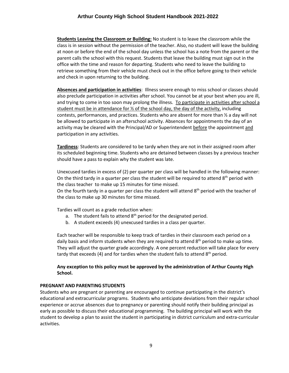**Students Leaving the Classroom or Building:** No student is to leave the classroom while the class is in session without the permission of the teacher. Also, no student will leave the building at noon or before the end of the school day unless the school has a note from the parent or the parent calls the school with this request. Students that leave the building must sign out in the office with the time and reason for departing. Students who need to leave the building to retrieve something from their vehicle must check out in the office before going to their vehicle and check in upon returning to the building.

**Absences and participation in activities**: Illness severe enough to miss school or classes should also preclude participation in activities after school. You cannot be at your best when you are ill, and trying to come in too soon may prolong the illness. To participate in activities after school a student must be in attendance for  $\frac{1}{2}$  of the school day, the day of the activity, including contests, performances, and practices. Students who are absent for more than ½ a day will not be allowed to participate in an afterschool activity. Absences for appointments the day of an activity may be cleared with the Principal/AD or Superintendent before the appointment and participation in any activities.

**Tardiness**: Students are considered to be tardy when they are not in their assigned room after its scheduled beginning time. Students who are detained between classes by a previous teacher should have a pass to explain why the student was late.

Unexcused tardies in excess of (2) per quarter per class will be handled in the following manner: On the third tardy in a quarter per class the student will be required to attend  $8<sup>th</sup>$  period with the class teacher to make up 15 minutes for time missed.

On the fourth tardy in a quarter per class the student will attend  $8<sup>th</sup>$  period with the teacher of the class to make up 30 minutes for time missed.

Tardies will count as a grade reduction when:

- a. The student fails to attend  $8<sup>th</sup>$  period for the designated period.
- b. A student exceeds (4) unexcused tardies in a class per quarter.

Each teacher will be responsible to keep track of tardies in their classroom each period on a daily basis and inform students when they are required to attend  $8<sup>th</sup>$  period to make up time. They will adjust the quarter grade accordingly. A one percent reduction will take place for every tardy that exceeds (4) and for tardies when the student fails to attend  $8<sup>th</sup>$  period.

# **Any exception to this policy must be approved by the administration of Arthur County High School.**

# **PREGNANT AND PARENTING STUDENTS**

Students who are pregnant or parenting are encouraged to continue participating in the district's educational and extracurricular programs. Students who anticipate deviations from their regular school experience or accrue absences due to pregnancy or parenting should notify their building principal as early as possible to discuss their educational programming. The building principal will work with the student to develop a plan to assist the student in participating in district curriculum and extra-curricular activities.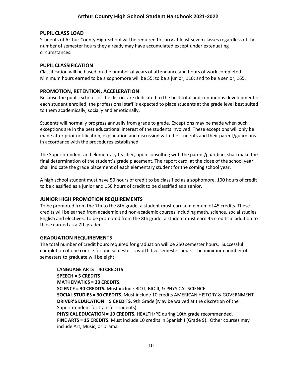#### <span id="page-9-0"></span>**PUPIL CLASS LOAD**

Students of Arthur County High School will be required to carry at least seven classes regardless of the number of semester hours they already may have accumulated except under extenuating circumstances.

#### <span id="page-9-1"></span>**PUPIL CLASSIFICATION**

Classification will be based on the number of years of attendance and hours of work completed. Minimum hours earned to be a sophomore will be 55; to be a junior, 110; and to be a senior, 165.

#### <span id="page-9-2"></span>**PROMOTION, RETENTION, ACCELERATION**

Because the public schools of the district are dedicated to the best total and continuous development of each student enrolled, the professional staff is expected to place students at the grade level best suited to them academically, socially and emotionally.

Students will normally progress annually from grade to grade. Exceptions may be made when such exceptions are in the best educational interest of the students involved. These exceptions will only be made after prior notification, explanation and discussion with the students and their parent/guardians in accordance with the procedures established.

The Superintendent and elementary teacher, upon consulting with the parent/guardian, shall make the final determination of the student's grade placement. The report card, at the close of the school year, shall indicate the grade placement of each elementary student for the coming school year.

A high school student must have 50 hours of credit to be classified as a sophomore, 100 hours of credit to be classified as a junior and 150 hours of credit to be classified as a senior.

#### <span id="page-9-3"></span>**JUNIOR HIGH PROMOTION REQUIREMENTS**

To be promoted from the 7th to the 8th grade, a student must earn a minimum of 45 credits. These credits will be earned from academic and non-academic courses including math, science, social studies, English and electives. To be promoted from the 8th grade, a student must earn 45 credits in addition to those earned as a 7th grader.

#### <span id="page-9-4"></span>**GRADUATION REQUIREMENTS**

The total number of credit hours required for graduation will be 250 semester hours. Successful completion of one course for one semester is worth five semester hours. The minimum number of semesters to graduate will be eight.

**LANGUAGE ARTS = 40 CREDITS SPEECH = 5 CREDITS MATHEMATICS = 30 CREDITS. SCIENCE = 30 CREDITS.** Must include BIO I, BIO II, & PHYSICAL SCIENCE **SOCIAL STUDIES = 30 CREDITS.** Must include 10 credits AMERICAN HISTORY & GOVERNMENT **DRIVER'S EDUCATION = 5 CREDITS.** 9th Grade (May be waived at the discretion of the Superintendent for transfer students) **PHYSICAL EDUCATION = 10 CREDITS.** HEALTH/PE during 10th grade recommended. **FINE ARTS = 15 CREDITS.** Must include 10 credits in Spanish I (Grade 9). Other courses may include Art, Music, or Drama.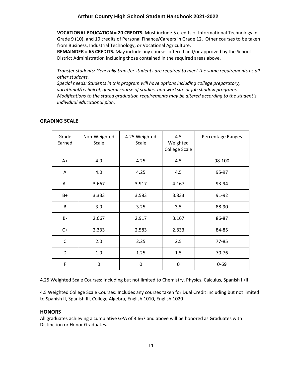**VOCATIONAL EDUCATION = 20 CREDITS.** Must include 5 credits of Informational Technology in Grade 9 (10), and 10 credits of Personal Finance/Careers in Grade 12. Other courses to be taken from Business, Industrial Technology, or Vocational Agriculture.

**REMAINDER = 65 CREDITS.** May include any courses offered and/or approved by the School District Administration including those contained in the required areas above.

*Transfer students: Generally transfer students are required to meet the same requirements as all other students.*

*Special needs: Students in this program will have options including college preparatory, vocational/technical, general course of studies, and worksite or job shadow programs. Modifications to the stated graduation requirements may be altered according to the student's individual educational plan.* 

#### <span id="page-10-0"></span>**GRADING SCALE**

| Grade<br>Earned | Non-Weighted<br>Scale | 4.25 Weighted<br>Scale | 4.5<br>Weighted<br><b>College Scale</b> | Percentage Ranges |
|-----------------|-----------------------|------------------------|-----------------------------------------|-------------------|
| $A+$            | 4.0                   | 4.25                   | 4.5                                     | 98-100            |
| A               | 4.0                   | 4.25                   | 4.5                                     | 95-97             |
| A-              | 3.667                 | 3.917                  | 4.167                                   | 93-94             |
| $B+$            | 3.333                 | 3.583                  | 3.833                                   | 91-92             |
| B               | 3.0                   | 3.25                   | 3.5                                     | 88-90             |
| <b>B-</b>       | 2.667                 | 2.917                  | 3.167                                   | 86-87             |
| $C+$            | 2.333                 | 2.583                  | 2.833                                   | 84-85             |
| $\mathsf{C}$    | 2.0                   | 2.25                   | 2.5                                     | 77-85             |
| D               | 1.0                   | 1.25                   | 1.5                                     | 70-76             |
| F               | 0                     | 0                      | 0                                       | $0 - 69$          |

4.25 Weighted Scale Courses: Including but not limited to Chemistry, Physics, Calculus, Spanish II/III

4.5 Weighted College Scale Courses: Includes any courses taken for Dual Credit including but not limited to Spanish II, Spanish III, College Algebra, English 1010, English 1020

#### **HONORS**

All graduates achieving a cumulative GPA of 3.667 and above will be honored as Graduates with Distinction or Honor Graduates.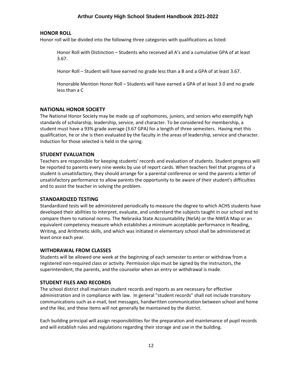#### <span id="page-11-0"></span>**HONOR ROLL**

Honor roll will be divided into the following three categories with qualifications as listed:

Honor Roll with Distinction – Students who received all A's and a cumulative GPA of at least 3.67.

Honor Roll – Student will have earned no grade less than a B and a GPA of at least 3.67.

Honorable Mention Honor Roll – Students will have earned a GPA of at least 3.0 and no grade less than a C

#### <span id="page-11-1"></span>**NATIONAL HONOR SOCIETY**

The National Honor Society may be made up of sophomores, juniors, and seniors who exemplify high standards of scholarship, leadership, service, and character. To be considered for membership, a student must have a 93% grade average (3.67 GPA) for a length of three semesters. Having met this qualification, he or she is then evaluated by the faculty in the areas of leadership, service and character. Induction for those selected is held in the spring.

#### <span id="page-11-2"></span>**STUDENT EVALUATION**

Teachers are responsible for keeping students' records and evaluation of students. Student progress will be reported to parents every nine weeks by use of report cards. When teachers feel that progress of a student is unsatisfactory, they should arrange for a parental conference or send the parents a letter of unsatisfactory performance to allow parents the opportunity to be aware of their student's difficulties and to assist the teacher in solving the problem.

#### <span id="page-11-3"></span>**STANDARDIZED TESTING**

Standardized tests will be administered periodically to measure the degree to which ACHS students have developed their abilities to interpret, evaluate, and understand the subjects taught in our school and to compare them to national norms. The Nebraska State Accountability (NeSA) or the NWEA Map or an equivalent competency measure which establishes a minimum acceptable performance in Reading, Writing, and Arithmetic skills, and which was initiated in elementary school shall be administered at least once each year.

#### <span id="page-11-4"></span>**WITHDRAWAL FROM CLASSES**

Students will be allowed one week at the beginning of each semester to enter or withdraw from a registered non-required class or activity. Permission slips must be signed by the instructors, the superintendent, the parents, and the counselor when an entry or withdrawal is made.

#### <span id="page-11-5"></span>**STUDENT FILES AND RECORDS**

The school district shall maintain student records and reports as are necessary for effective administration and in compliance with law. In general "student records" shall not include transitory communications such as e-mail, text messages, handwritten communication between school and home and the like, and these items will not generally be maintained by the district.

Each building principal will assign responsibilities for the preparation and maintenance of pupil records and will establish rules and regulations regarding their storage and use in the building.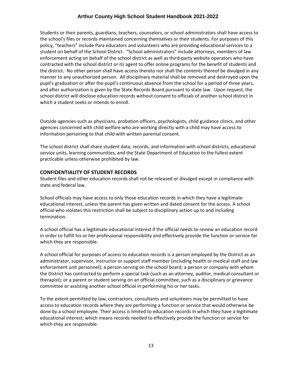Students or their parents, guardians, teachers, counselors, or school administrators shall have access to the school's files or records maintained concerning themselves or their students. For purposes of this policy, "teachers" include Para educators and volunteers who are providing educational services to a student on behalf of the School District. "School administrators" include attorneys, members of law enforcement acting on behalf of the school district as well as third-party website operators who have contracted with the school district or its agent to offer online programs for the benefit of students and the district. No other person shall have access thereto nor shall the contents thereof be divulged in any manner to any unauthorized person. All disciplinary material shall be removed and destroyed upon the pupil's graduation or after the pupil's continuous absence from the school for a period of three years, and after authorization is given by the State Records Board pursuant to state law. Upon request, the school district will disclose education records without consent to officials of another school district in which a student seeks or intends to enroll.

Outside agencies such as physicians, probation officers, psychologists, child guidance clinics, and other agencies concerned with child welfare who are working directly with a child may have access to information pertaining to that child with written parental consent.

The school district shall share student data, records, and information with school districts, educational service units, learning communities, and the State Department of Education to the fullest extent practicable unless otherwise prohibited by law.

#### <span id="page-12-0"></span>**CONFIDENTIALITY OF STUDENT RECORDS**

Student files and other education records shall not be released or divulged except in compliance with state and federal law.

School officials may have access to only those education records in which they have a legitimate educational interest, unless the parent has given written and dated consent for the access. A school official who violates this restriction shall be subject to disciplinary action up to and including termination.

A school official has a legitimate educational interest if the official needs to review an education record in order to fulfill his or her professional responsibility and effectively provide the function or service for which they are responsible.

A school official for purposes of access to education records is a person employed by the District as an administrator, supervisor, instructor or support staff member (including health or medical staff and law enforcement unit personnel); a person serving on the school board; a person or company with whom the District has contracted to perform a special task (such as an attorney, auditor, medical consultant or therapist); or a parent or student serving on an official committee, such as a disciplinary or grievance committee or assisting another school official in performing his or her tasks.

To the extent permitted by law, contractors, consultants and volunteers may be permitted to have access to education records where they are performing a function or service that would otherwise be done by a school employee. Their access is limited to education records in which they have a legitimate educational interest; which means records needed to effectively provide the function or service for which they are responsible.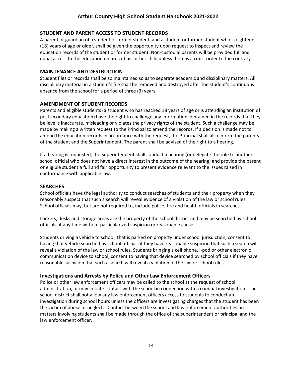# <span id="page-13-0"></span>**STUDENT AND PARENT ACCESS TO STUDENT RECORDS**

A parent or guardian of a student or former student, and a student or former student who is eighteen (18) years of age or older, shall be given the opportunity upon request to inspect and review the education records of the student or former student. Non-custodial parents will be provided full and equal access to the education records of his or her child unless there is a court order to the contrary.

# <span id="page-13-1"></span>**MAINTENANCE AND DESTRUCTION**

Student files or records shall be so maintained so as to separate academic and disciplinary matters. All disciplinary material in a student's file shall be removed and destroyed after the student's continuous absence from the school for a period of three (3) years.

# <span id="page-13-2"></span>**AMENDMENT OF STUDENT RECORDS**

Parents and eligible students (a student who has reached 18 years of age or is attending an institution of postsecondary education) have the right to challenge any information contained in the records that they believe is inaccurate, misleading or violates the privacy rights of the student. Such a challenge may be made by making a written request to the Principal to amend the records. If a decision is made not to amend the education records in accordance with the request, the Principal shall also inform the parents of the student and the Superintendent. The parent shall be advised of the right to a hearing.

If a hearing is requested, the Superintendent shall conduct a hearing (or delegate the role to another school official who does not have a direct interest in the outcome of the hearing) and provide the parent or eligible student a full and fair opportunity to present evidence relevant to the issues raised in conformance with applicable law.

# <span id="page-13-3"></span>**SEARCHES**

School officials have the legal authority to conduct searches of students and their property when they reasonably suspect that such a search will reveal evidence of a violation of the law or school rules. School officials may, but are not required to, include police, fire and health officials in searches.

Lockers, desks and storage areas are the property of the school district and may be searched by school officials at any time without particularized suspicion or reasonable cause.

Students driving a vehicle to school, that is parked on property under school jurisdiction, consent to having that vehicle searched by school officials if they have reasonable suspicion that such a search will reveal a violation of the law or school rules. Students bringing a cell phone, i-pod or other electronic communication device to school, consent to having that device searched by school officials if they have reasonable suspicion that such a search will reveal a violation of the law or school rules.

# <span id="page-13-4"></span>**Investigations and Arrests by Police and Other Law Enforcement Officers**

Police or other law enforcement officers may be called to the school at the request of school administration, or may initiate contact with the school in connection with a criminal investigation. The school district shall not allow any law enforcement officers access to students to conduct an investigation during school hours unless the officers are investigating charges that the student has been the victim of abuse or neglect. Contact between the school and law enforcement authorities on matters involving students shall be made through the office of the superintendent or principal and the law enforcement officer.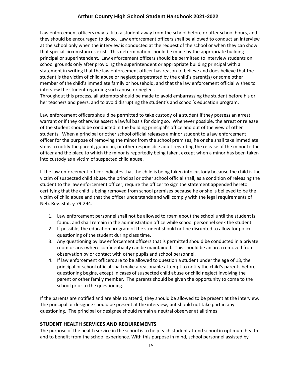Law enforcement officers may talk to a student away from the school before or after school hours, and they should be encouraged to do so. Law enforcement officers shall be allowed to conduct an interview at the school only when the interview is conducted at the request of the school or when they can show that special circumstances exist. This determination should be made by the appropriate building principal or superintendent. Law enforcement officers should be permitted to interview students on school grounds only after providing the superintendent or appropriate building principal with a statement in writing that the law enforcement officer has reason to believe and does believe that the student is the victim of child abuse or neglect perpetrated by the child's parent(s) or some other member of the child's immediate family or household, and that the law enforcement official wishes to interview the student regarding such abuse or neglect.

Throughout this process, all attempts should be made to avoid embarrassing the student before his or her teachers and peers, and to avoid disrupting the student's and school's education program.

Law enforcement officers should be permitted to take custody of a student if they possess an arrest warrant or if they otherwise assert a lawful basis for doing so. Whenever possible, the arrest or release of the student should be conducted in the building principal's office and out of the view of other students. When a principal or other school official releases a minor student to a law enforcement officer for the purpose of removing the minor from the school premises, he or she shall take immediate steps to notify the parent, guardian, or other responsible adult regarding the release of the minor to the officer and the place to which the minor is reportedly being taken, except when a minor has been taken into custody as a victim of suspected child abuse.

If the law enforcement officer indicates that the child is being taken into custody because the child is the victim of suspected child abuse, the principal or other school official shall, as a condition of releasing the student to the law enforcement officer, require the officer to sign the statement appended hereto certifying that the child is being removed from school premises because he or she is believed to be the victim of child abuse and that the officer understands and will comply with the legal requirements of Neb. Rev. Stat. § 79-294.

- 1. Law enforcement personnel shall not be allowed to roam about the school until the student is found, and shall remain in the administration office while school personnel seek the student.
- 2. If possible, the education program of the student should not be disrupted to allow for police questioning of the student during class time.
- 3. Any questioning by law enforcement officers that is permitted should be conducted in a private room or area where confidentiality can be maintained. This should be an area removed from observation by or contact with other pupils and school personnel.
- 4. If law enforcement officers are to be allowed to question a student under the age of 18, the principal or school official shall make a reasonable attempt to notify the child's parents before questioning begins, except in cases of suspected child abuse or child neglect involving the parent or other family member. The parents should be given the opportunity to come to the school prior to the questioning.

If the parents are notified and are able to attend, they should be allowed to be present at the interview. The principal or designee should be present at the interview, but should not take part in any questioning. The principal or designee should remain a neutral observer at all times

# <span id="page-14-0"></span>**STUDENT HEALTH SERVICES AND REQUIREMENTS**

The purpose of the health service in the school is to help each student attend school in optimum health and to benefit from the school experience. With this purpose in mind, school personnel assisted by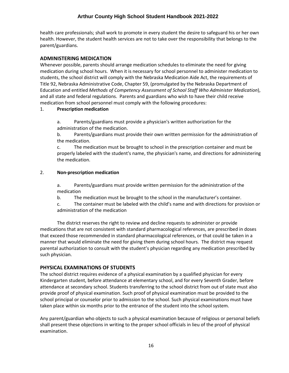health care professionals; shall work to promote in every student the desire to safeguard his or her own health. However, the student health services are not to take over the responsibility that belongs to the parent/guardians.

# <span id="page-15-0"></span>**ADMINISTERING MEDICATION**

Whenever possible, parents should arrange medication schedules to eliminate the need for giving medication during school hours. When it is necessary for school personnel to administer medication to students, the school district will comply with the Nebraska Medication Aide Act, the requirements of Title 92, Nebraska Administrative Code, Chapter 59, (promulgated by the Nebraska Department of Education and entitled *Methods of Competency Assessment of School Staff Who Administer Medication*), and all state and federal regulations. Parents and guardians who wish to have their child receive medication from school personnel must comply with the following procedures:

#### 1. **Prescription medication**

a. Parents/guardians must provide a physician's written authorization for the administration of the medication.

b. Parents/guardians must provide their own written permission for the administration of the medication.

c. The medication must be brought to school in the prescription container and must be properly labeled with the student's name, the physician's name, and directions for administering the medication.

#### 2. **Non-prescription medication**

a. Parents/guardians must provide written permission for the administration of the medication

b. The medication must be brought to the school in the manufacturer's container.

c. The container must be labeled with the child's name and with directions for provision or administration of the medication

The district reserves the right to review and decline requests to administer or provide medications that are not consistent with standard pharmacological references, are prescribed in doses that exceed those recommended in standard pharmacological references, or that could be taken in a manner that would eliminate the need for giving them during school hours. The district may request parental authorization to consult with the student's physician regarding any medication prescribed by such physician.

# <span id="page-15-1"></span>**PHYSICAL EXAMINATIONS OF STUDENTS**

The school district requires evidence of a physical examination by a qualified physician for every Kindergarten student, before attendance at elementary school, and for every Seventh Grader, before attendance at secondary school. Students transferring to the school district from out of state must also provide proof of physical examination. Such proof of physical examination must be provided to the school principal or counselor prior to admission to the school. Such physical examinations must have taken place within six months prior to the entrance of the student into the school system.

Any parent/guardian who objects to such a physical examination because of religious or personal beliefs shall present these objections in writing to the proper school officials in lieu of the proof of physical examination.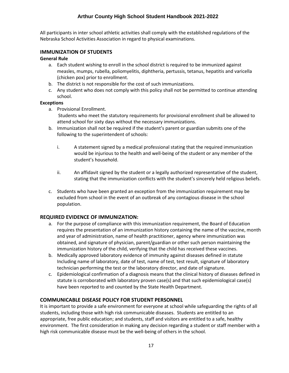All participants in inter school athletic activities shall comply with the established regulations of the Nebraska School Activities Association in regard to physical examinations.

# <span id="page-16-0"></span>**IMMUNIZATION OF STUDENTS**

#### **General Rule**

- a. Each student wishing to enroll in the school district is required to be immunized against measles, mumps, rubella, poliomyelitis, diphtheria, pertussis, tetanus, hepatitis and varicella (chicken pox) prior to enrollment.
- b. The district is not responsible for the cost of such immunizations.
- c. Any student who does not comply with this policy shall not be permitted to continue attending school.

#### **Exceptions**

- a. Provisional Enrollment.
	- Students who meet the statutory requirements for provisional enrollment shall be allowed to attend school for sixty days without the necessary immunizations.
- b. Immunization shall not be required if the student's parent or guardian submits one of the following to the superintendent of schools:
	- i. A statement signed by a medical professional stating that the required immunization would be injurious to the health and well-being of the student or any member of the student's household.
	- ii. An affidavit signed by the student or a legally authorized representative of the student, stating that the immunization conflicts with the student's sincerely held religious beliefs.
- c. Students who have been granted an exception from the immunization requirement may be excluded from school in the event of an outbreak of any contagious disease in the school population.

#### <span id="page-16-1"></span>**REQUIRED EVIDENCE OF IMMUNIZATION:**

- a. For the purpose of compliance with this immunization requirement, the Board of Education requires the presentation of an immunization history containing the name of the vaccine, month and year of administration, name of health practitioner, agency where immunization was obtained, and signature of physician, parent/guardian or other such person maintaining the immunization history of the child, verifying that the child has received these vaccines.
- b. Medically approved laboratory evidence of immunity against diseases defined in statute Including name of laboratory, date of test, name of test, test result, signature of laboratory technician performing the test or the laboratory director, and date of signature.
- c. Epidemiological confirmation of a diagnosis means that the clinical history of diseases defined in statute is corroborated with laboratory proven case(s) and that such epidemiological case(s) have been reported to and counted by the State Health Department.

#### <span id="page-16-2"></span>**COMMUNICABLE DISEASE POLICY FOR STUDENT PERSONNEL**

It is important to provide a safe environment for everyone at school while safeguarding the rights of all students, including those with high risk communicable diseases. Students are entitled to an appropriate, free public education; and students, staff and visitors are entitled to a safe, healthy environment. The first consideration in making any decision regarding a student or staff member with a high risk communicable disease must be the well-being of others in the school.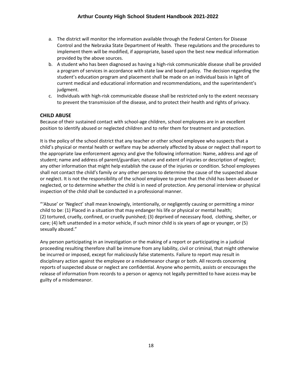- a. The district will monitor the information available through the Federal Centers for Disease Control and the Nebraska State Department of Health. These regulations and the procedures to implement them will be modified, if appropriate, based upon the best new medical information provided by the above sources.
- b. A student who has been diagnosed as having a high-risk communicable disease shall be provided a program of services in accordance with state law and board policy. The decision regarding the student's education program and placement shall be made on an individual basis in light of current medical and educational information and recommendations, and the superintendent's judgment.
- c. Individuals with high-risk communicable disease shall be restricted only to the extent necessary to prevent the transmission of the disease, and to protect their health and rights of privacy.

# <span id="page-17-0"></span>**CHILD ABUSE**

Because of their sustained contact with school-age children, school employees are in an excellent position to identify abused or neglected children and to refer them for treatment and protection.

It is the policy of the school district that any teacher or other school employee who suspects that a child's physical or mental health or welfare may be adversely affected by abuse or neglect shall report to the appropriate law enforcement agency and give the following information: Name, address and age of student; name and address of parent/guardian; nature and extent of injuries or description of neglect; any other information that might help establish the cause of the injuries or condition. School employees shall not contact the child's family or any other persons to determine the cause of the suspected abuse or neglect. It is not the responsibility of the school employee to prove that the child has been abused or neglected, or to determine whether the child is in need of protection. Any personal interview or physical inspection of the child shall be conducted in a professional manner.

"'Abuse' or 'Neglect' shall mean knowingly, intentionally, or negligently causing or permitting a minor child to be: (1) Placed in a situation that may endanger his life or physical or mental health; (2) tortured, cruelly, confined, or cruelly punished; (3) deprived of necessary food, clothing, shelter, or care; (4) left unattended in a motor vehicle, if such minor child is six years of age or younger, or (5) sexually abused."

Any person participating in an investigation or the making of a report or participating in a judicial proceeding resulting therefore shall be immune from any liability, civil or criminal, that might otherwise be incurred or imposed, except for maliciously false statements. Failure to report may result in disciplinary action against the employee or a misdemeanor charge or both. All records concerning reports of suspected abuse or neglect are confidential. Anyone who permits, assists or encourages the release of information from records to a person or agency not legally permitted to have access may be guilty of a misdemeanor.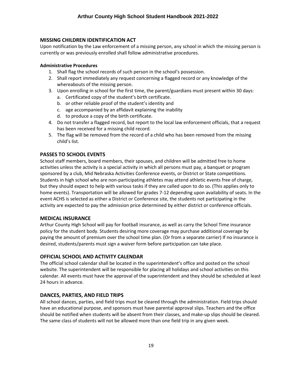# <span id="page-18-0"></span>**MISSING CHILDREN IDENTIFICATION ACT**

Upon notification by the Law enforcement of a missing person, any school in which the missing person is currently or was previously enrolled shall follow administrative procedures.

# **Administrative Procedures**

- 1. Shall flag the school records of such person in the school's possession.
- 2. Shall report immediately any request concerning a flagged record or any knowledge of the whereabouts of the missing person.
- 3. Upon enrolling in school for the first time, the parent/guardians must present within 30 days:
	- a. Certificated copy of the student's birth certificate.
	- b. or other reliable proof of the student's identity and
	- c. age accompanied by an affidavit explaining the inability
	- d. to produce a copy of the birth certificate.
- 4. Do not transfer a flagged record, but report to the local law enforcement officials, that a request has been received for a missing child record.
- 5. The flag will be removed from the record of a child who has been removed from the missing child's list.

# <span id="page-18-1"></span>**PASSES TO SCHOOL EVENTS**

School staff members, board members, their spouses, and children will be admitted free to home activities unless the activity is a special activity in which all persons must pay, a banquet or program sponsored by a club, Mid Nebraska Activities Conference events, or District or State competitions. Students in high school who are non-participating athletes may attend athletic events free of charge, but they should expect to help with various tasks if they are called upon to do so. (This applies only to home events). Transportation will be allowed for grades 7-12 depending upon availability of seats. In the event ACHS is selected as either a District or Conference site, the students not participating in the activity are expected to pay the admission price determined by either district or conference officials.

# <span id="page-18-2"></span>**MEDICAL INSURANCE**

Arthur County High School will pay for football insurance, as well as carry the School Time insurance policy for the student body. Students desiring more coverage may purchase additional coverage by paying the amount of premium over the school time plan. (Or from a separate carrier) If no insurance is desired, students/parents must sign a waiver form before participation can take place.

# <span id="page-18-3"></span>**OFFICIAL SCHOOL AND ACTIVITY CALENDAR**

The official school calendar shall be located in the superintendent's office and posted on the school website. The superintendent will be responsible for placing all holidays and school activities on this calendar. All events must have the approval of the superintendent and they should be scheduled at least 24 hours in advance.

# <span id="page-18-4"></span>**DANCES, PARTIES, AND FIELD TRIPS**

All school dances, parties, and field trips must be cleared through the administration. Field trips should have an educational purpose, and sponsors must have parental approval slips. Teachers and the office should be notified when students will be absent from their classes, and make-up slips should be cleared. The same class of students will not be allowed more than one field trip in any given week.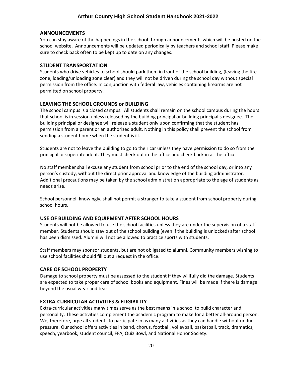#### <span id="page-19-0"></span>**ANNOUNCEMENTS**

You can stay aware of the happenings in the school through announcements which will be posted on the school website. Announcements will be updated periodically by teachers and school staff. Please make sure to check back often to be kept up to date on any changes.

#### <span id="page-19-1"></span>**STUDENT TRANSPORTATION**

Students who drive vehicles to school should park them in front of the school building, (leaving the fire zone, loading/unloading zone clear) and they will not be driven during the school day without special permission from the office. In conjunction with federal law, vehicles containing firearms are not permitted on school property.

#### <span id="page-19-2"></span>**LEAVING THE SCHOOL GROUNDS or BUILDING**

The school campus is a closed campus. All students shall remain on the school campus during the hours that school is in session unless released by the building principal or building principal's designee. The building principal or designee will release a student only upon confirming that the student has permission from a parent or an authorized adult. Nothing in this policy shall prevent the school from sending a student home when the student is ill.

Students are not to leave the building to go to their car unless they have permission to do so from the principal or superintendent. They must check out in the office and check back in at the office.

No staff member shall excuse any student from school prior to the end of the school day, or into any person's custody, without the direct prior approval and knowledge of the building administrator. Additional precautions may be taken by the school administration appropriate to the age of students as needs arise.

School personnel, knowingly, shall not permit a stranger to take a student from school property during school hours.

#### <span id="page-19-3"></span>**USE OF BUILDING AND EQUIPMENT AFTER SCHOOL HOURS**

Students will not be allowed to use the school facilities unless they are under the supervision of a staff member. Students should stay out of the school building (even if the building is unlocked) after school has been dismissed. Alumni will not be allowed to practice sports with students.

Staff members may sponsor students, but are not obligated to alumni. Community members wishing to use school facilities should fill out a request in the office.

#### <span id="page-19-4"></span>**CARE OF SCHOOL PROPERTY**

Damage to school property must be assessed to the student if they willfully did the damage. Students are expected to take proper care of school books and equipment. Fines will be made if there is damage beyond the usual wear and tear.

#### <span id="page-19-5"></span>**EXTRA-CURRICULAR ACTIVITIES & ELIGIBILITY**

Extra-curricular activities many times serve as the best means in a school to build character and personality. These activities complement the academic program to make for a better all-around person. We, therefore, urge all students to participate in as many activities as they can handle without undue pressure. Our school offers activities in band, chorus, football, volleyball, basketball, track, dramatics, speech, yearbook, student council, FFA, Quiz Bowl, and National Honor Society.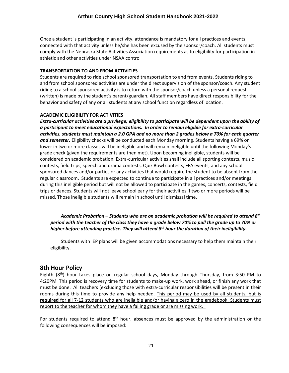Once a student is participating in an activity, attendance is mandatory for all practices and events connected with that activity unless he/she has been excused by the sponsor/coach. All students must comply with the Nebraska State Activities Association requirements as to eligibility for participation in athletic and other activities under NSAA control

# **TRANSPORTATION TO AND FROM ACTIVITIES**

Students are required to ride school sponsored transportation to and from events. Students riding to and from school sponsored activities are under the direct supervision of the sponsor/coach. Any student riding to a school sponsored activity is to return with the sponsor/coach unless a personal request (written) is made by the student's parent/guardian. All staff members have direct responsibility for the behavior and safety of any or all students at any school function regardless of location.

# **ACADEMIC ELIGIBILITY FOR ACTIVITIES**

*Extra-curricular activities are a privilege; eligibility to participate will be dependent upon the ability of a participant to meet educational expectations. In order to remain eligible for extra-curricular activities, students must maintain a 2.0 GPA and no more than 2 grades below a 70% for each quarter and semester.* Eligibility checks will be conducted each Monday morning. Students having a 69% or lower in two or more classes will be ineligible and will remain ineligible until the following Monday's grade check (given the requirements are then met). Upon becoming ineligible, students will be considered on academic probation. Extra-curricular activities shall include all sporting contests, music contests, field trips, speech and drama contests, Quiz Bowl contests, FFA events, and any school sponsored dances and/or parties or any activities that would require the student to be absent from the regular classroom. Students are expected to continue to participate in all practices and/or meetings during this ineligible period but will not be allowed to participate in the games, concerts, contests, field trips or dances. Students will not leave school early for their activities if two or more periods will be missed. Those ineligible students will remain in school until dismissal time.

*Academic Probation – Students who are on academic probation will be required to attend 8th period with the teacher of the class they have a grade below 70% to pull the grade up to 70% or higher before attending practice. They will attend 8th hour the duration of their ineligibility.* 

Students with IEP plans will be given accommodations necessary to help them maintain their eligibility.

# **8th Hour Policy**

Eighth (8<sup>th</sup>) hour takes place on regular school days, Monday through Thursday, from 3:50 PM to 4:20PM This period is recovery time for students to make-up work, work ahead, or finish any work that must be done. All teachers (excluding those with extra-curricular responsibilities will be present in their rooms during this time to provide any help needed. This period may be used by all students, but is **required** for all 7-12 students who are ineligible and/or having a zero in the gradebook. Students must report to the teacher for whom they have a failing grade or are missing work.

For students required to attend  $8<sup>th</sup>$  hour, absences must be approved by the administration or the following consequences will be imposed: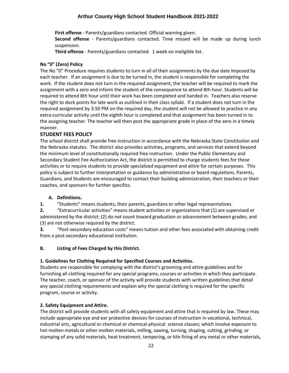**First offense** - Parents/guardians contacted. Official warning given.

**Second offense** - Parents/guardians contacted. Time missed will be made up during lunch suspension.

**Third offense** - Parents/guardians contacted. 1 week on ineligible list.

# **No "0" (Zero) Policy**

The No "0" Procedure requires students to turn in all of their assignments by the due date imposed by each teacher. If an assignment is due to be turned in, the student is responsible for completing the work. If the student does not turn in the required assignment, the teacher will be required to mark the assignment with a zero and inform the student of the consequence to attend 8th hour. Students will be required to attend 8th hour until their work has been completed and handed in. Teachers also reserve the right to dock points for late work as outlined in their class syllabi. If a student does not turn in the required assignment by 3:50 PM on the required day, the student will not be allowed to practice in any extra-curricular activity until the eighth hour is completed and that assignment has been turned in to the assigning teacher. The teacher will then post the appropriate grade in place of the zero in a timely manner.

# <span id="page-21-0"></span>**STUDENT FEES POLICY**

The school district shall provide free instruction in accordance with the Nebraska State Constitution and the Nebraska statutes. The district also provides activities, programs, and services that extend beyond the minimum level of constitutionally required free instruction. Under the Public Elementary and Secondary Student Fee Authorization Act, the district is permitted to charge students fees for these activities or to require students to provide specialized equipment and attire for certain purposes. This policy is subject to further interpretation or guidance by administrative or board regulations. Parents, Guardians, and Students are encouraged to contact their building administration, their teachers or their coaches, and sponsors for further specifics.

# **A. Definitions.**

**1.** "Students" means students, their parents, guardians or other legal representatives.

**2.** "Extracurricular activities" means student activities or organizations that (1) are supervised or administered by the district; (2) do not count toward graduation or advancement between grades; and (3) are not otherwise required by the district.

**3.** "Post-secondary education costs" means tuition and other fees associated with obtaining credit from a post-secondary educational institution.

# **B. Listing of Fees Charged by this District.**

# **1. Guidelines for Clothing Required for Specified Courses and Activities.**

Students are responsible for complying with the district's grooming and attire guidelines and for furnishing all clothing required for any special programs, courses or activities in which they participate. The teacher, coach, or sponsor of the activity will provide students with written guidelines that detail any special clothing requirements and explain why the special clothing is required for the specific program, course or activity.

# **2. Safety Equipment and Attire.**

The district will provide students with all safety equipment and attire that is required by law. These may include appropriate eye and ear protective devices for courses of instruction in vocational, technical, industrial arts, agricultural or chemical or chemical-physical science classes; which involve exposure to hot molten metals or other molten materials, milling, sawing, turning, shaping, cutting, grinding, or stamping of any solid materials, heat treatment, tempering, or kiln firing of any metal or other materials,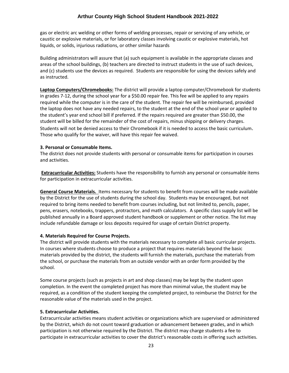gas or electric arc welding or other forms of welding processes, repair or servicing of any vehicle, or caustic or explosive materials, or for laboratory classes involving caustic or explosive materials, hot liquids, or solids, injurious radiations, or other similar hazards

Building administrators will assure that (a) such equipment is available in the appropriate classes and areas of the school buildings, (b) teachers are directed to instruct students in the use of such devices, and (c) students use the devices as required. Students are responsible for using the devices safely and as instructed.

**Laptop Computers/Chromebooks:** The district will provide a laptop computer/Chromebook for students in grades 7-12, during the school year for a \$50.00 repair fee. This fee will be applied to any repairs required while the computer is in the care of the student. The repair fee will be reimbursed, provided the laptop does not have any needed repairs, to the student at the end of the school year or applied to the student's year end school bill if preferred. If the repairs required are greater than \$50.00, the student will be billed for the remainder of the cost of repairs, minus shipping or delivery charges. Students will not be denied access to their Chromebook if it is needed to access the basic curriculum. Those who qualify for the waiver, will have this repair fee waived.

#### **3. Personal or Consumable Items.**

The district does not provide students with personal or consumable items for participation in courses and activities.

**Extracurricular Activities:** Students have the responsibility to furnish any personal or consumable items for participation in extracurricular activities.

**General Course Materials.** Items necessary for students to benefit from courses will be made available by the District for the use of students during the school day. Students may be encouraged, but not required to bring items needed to benefit from courses including, but not limited to, pencils, paper, pens, erasers, notebooks, trappers, protractors, and math calculators. A specific class supply list will be published annually in a Board approved student handbook or supplement or other notice. The list may include refundable damage or loss deposits required for usage of certain District property.

#### **4. Materials Required for Course Projects.**

The district will provide students with the materials necessary to complete all basic curricular projects. In courses where students choose to produce a project that requires materials beyond the basic materials provided by the district, the students will furnish the materials, purchase the materials from the school, or purchase the materials from an outside vendor with an order form provided by the school.

Some course projects (such as projects in art and shop classes) may be kept by the student upon completion. In the event the completed project has more than minimal value, the student may be required, as a condition of the student keeping the completed project, to reimburse the District for the reasonable value of the materials used in the project.

#### **5. Extracurricular Activities.**

Extracurricular activities means student activities or organizations which are supervised or administered by the District, which do not count toward graduation or advancement between grades, and in which participation is not otherwise required by the District. The district may charge students a fee to participate in extracurricular activities to cover the district's reasonable costs in offering such activities.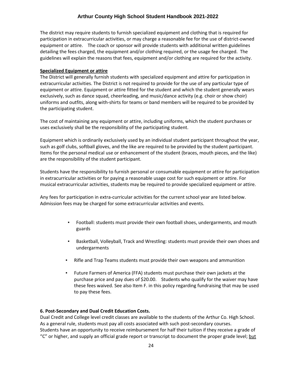The district may require students to furnish specialized equipment and clothing that is required for participation in extracurricular activities, or may charge a reasonable fee for the use of district-owned equipment or attire. The coach or sponsor will provide students with additional written guidelines detailing the fees charged, the equipment and/or clothing required, or the usage fee charged. The guidelines will explain the reasons that fees, equipment and/or clothing are required for the activity.

#### **Specialized Equipment or attire**

The District will generally furnish students with specialized equipment and attire for participation in extracurricular activities. The District is not required to provide for the use of any particular type of equipment or attire. Equipment or attire fitted for the student and which the student generally wears exclusively, such as dance squad, cheerleading, and music/dance activity (e.g. choir or show choir) uniforms and outfits, along with-shirts for teams or band members will be required to be provided by the participating student.

The cost of maintaining any equipment or attire, including uniforms, which the student purchases or uses exclusively shall be the responsibility of the participating student.

Equipment which is ordinarily exclusively used by an individual student participant throughout the year, such as golf clubs, softball gloves, and the like are required to be provided by the student participant. Items for the personal medical use or enhancement of the student (braces, mouth pieces, and the like) are the responsibility of the student participant.

Students have the responsibility to furnish personal or consumable equipment or attire for participation in extracurricular activities or for paying a reasonable usage cost for such equipment or attire. For musical extracurricular activities, students may be required to provide specialized equipment or attire.

Any fees for participation in extra-curricular activities for the current school year are listed below. Admission fees may be charged for some extracurricular activities and events.

- Football: students must provide their own football shoes, undergarments, and mouth guards
- Basketball, Volleyball, Track and Wrestling: students must provide their own shoes and undergarments
- Rifle and Trap Teams students must provide their own weapons and ammunition
- Future Farmers of America (FFA) students must purchase their own jackets at the purchase price and pay dues of \$20.00. Students who qualify for the waiver may have these fees waived. See also Item F. in this policy regarding fundraising that may be used to pay these fees.

# **6. Post-Secondary and Dual Credit Education Costs.**

Dual Credit and College level credit classes are available to the students of the Arthur Co. High School. As a general rule, students must pay all costs associated with such post-secondary courses. Students have an opportunity to receive reimbursement for half their tuition if they receive a grade of "C" or higher, and supply an official grade report or transcript to document the proper grade level; but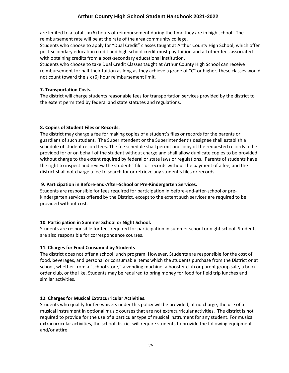are limited to a total six (6) hours of reimbursement during the time they are in high school. The reimbursement rate will be at the rate of the area community college.

Students who choose to apply for "Dual Credit" classes taught at Arthur County High School, which offer post-secondary education credit and high school credit must pay tuition and all other fees associated with obtaining credits from a post-secondary educational institution.

Students who choose to take Dual Credit Classes taught at Arthur County High School can receive reimbursement for half their tuition as long as they achieve a grade of "C" or higher; these classes would not count toward the six (6) hour reimbursement limit.

#### **7. Transportation Costs.**

The district will charge students reasonable fees for transportation services provided by the district to the extent permitted by federal and state statutes and regulations.

#### **8. Copies of Student Files or Records.**

The district may charge a fee for making copies of a student's files or records for the parents or guardians of such student. The Superintendent or the Superintendent's designee shall establish a schedule of student record fees. The fee schedule shall permit one copy of the requested records to be provided for or on behalf of the student without charge and shall allow duplicate copies to be provided without charge to the extent required by federal or state laws or regulations. Parents of students have the right to inspect and review the students' files or records without the payment of a fee, and the district shall not charge a fee to search for or retrieve any student's files or records.

#### **9. Participation in Before-and-After-School or Pre-Kindergarten Services.**

Students are responsible for fees required for participation in before-and-after-school or prekindergarten services offered by the District, except to the extent such services are required to be provided without cost.

# **10. Participation in Summer School or Night School.**

Students are responsible for fees required for participation in summer school or night school. Students are also responsible for correspondence courses.

#### **11. Charges for Food Consumed by Students**

The district does not offer a school lunch program. However, Students are responsible for the cost of food, beverages, and personal or consumable items which the students purchase from the District or at school, whether from a "school store," a vending machine, a booster club or parent group sale, a book order club, or the like. Students may be required to bring money for food for field trip lunches and similar activities.

#### **12. Charges for Musical Extracurricular Activities.**

Students who qualify for fee waivers under this policy will be provided, at no charge, the use of a musical instrument in optional music courses that are not extracurricular activities. The district is not required to provide for the use of a particular type of musical instrument for any student. For musical extracurricular activities, the school district will require students to provide the following equipment and/or attire: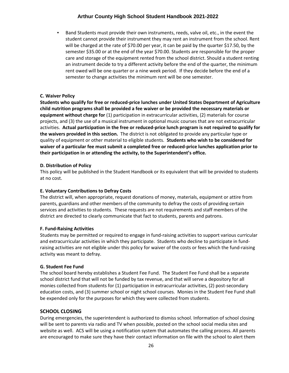Band Students must provide their own instruments, reeds, valve oil, etc., in the event the student cannot provide their instrument they may rent an instrument from the school. Rent will be charged at the rate of \$70.00 per year, it can be paid by the quarter \$17.50, by the semester \$35.00 or at the end of the year \$70.00. Students are responsible for the proper care and storage of the equipment rented from the school district. Should a student renting an instrument decide to try a different activity before the end of the quarter, the minimum rent owed will be one quarter or a nine week period. If they decide before the end of a semester to change activities the minimum rent will be one semester.

# **C. Waiver Policy**

**Students who qualify for free or reduced-price lunches under United States Department of Agriculture child nutrition programs shall be provided a fee waiver or be provided the necessary materials or equipment without charge for** (1) participation in extracurricular activities, (2) materials for course projects, and (3) the use of a musical instrument in optional music courses that are not extracurricular activities. **Actual participation in the free or reduced-price lunch program is not required to qualify for the waivers provided in this section.** The district is not obligated to provide any particular type or quality of equipment or other material to eligible students. **Students who wish to be considered for waiver of a particular fee must submit a completed free or reduced-price lunches application prior to their participation in or attending the activity, to the Superintendent's office.**

#### **D. Distribution of Policy**

This policy will be published in the Student Handbook or its equivalent that will be provided to students at no cost.

# **E. Voluntary Contributions to Defray Costs**

The district will, when appropriate, request donations of money, materials, equipment or attire from parents, guardians and other members of the community to defray the costs of providing certain services and activities to students. These requests are not requirements and staff members of the district are directed to clearly communicate that fact to students, parents and patrons.

#### **F. Fund-Raising Activities**

Students may be permitted or required to engage in fund-raising activities to support various curricular and extracurricular activities in which they participate. Students who decline to participate in fundraising activities are not eligible under this policy for waiver of the costs or fees which the fund-raising activity was meant to defray.

# **G. Student Fee Fund**

The school board hereby establishes a Student Fee Fund. The Student Fee Fund shall be a separate school district fund that will not be funded by tax revenue, and that will serve a depository for all monies collected from students for (1) participation in extracurricular activities, (2) post-secondary education costs, and (3) summer school or night school courses. Monies in the Student Fee Fund shall be expended only for the purposes for which they were collected from students.

# <span id="page-25-0"></span>**SCHOOL CLOSING**

During emergencies, the superintendent is authorized to dismiss school. Information of school closing will be sent to parents via radio and TV when possible, posted on the school social media sites and website as well. ACS will be using a notification system that automates the calling process. All parents are encouraged to make sure they have their contact information on file with the school to alert them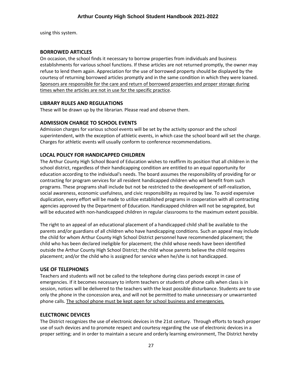using this system.

# <span id="page-26-0"></span>**BORROWED ARTICLES**

On occasion, the school finds it necessary to borrow properties from individuals and business establishments for various school functions. If these articles are not returned promptly, the owner may refuse to lend them again. Appreciation for the use of borrowed property should be displayed by the courtesy of returning borrowed articles promptly and in the same condition in which they were loaned. Sponsors are responsible for the care and return of borrowed properties and proper storage during times when the articles are not in use for the specific practice.

#### <span id="page-26-1"></span>**LIBRARY RULES AND REGULATIONS**

These will be drawn up by the librarian. Please read and observe them.

# <span id="page-26-2"></span>**ADMISSION CHARGE TO SCHOOL EVENTS**

Admission charges for various school events will be set by the activity sponsor and the school superintendent, with the exception of athletic events, in which case the school board will set the charge. Charges for athletic events will usually conform to conference recommendations.

# <span id="page-26-3"></span>**LOCAL POLICY FOR HANDICAPPED CHILDREN**

The Arthur County High School Board of Education wishes to reaffirm its position that all children in the school district, regardless of their handicapping condition are entitled to an equal opportunity for education according to the individual's needs. The board assumes the responsibility of providing for or contracting for program services for all resident handicapped children who will benefit from such programs. These programs shall include but not be restricted to the development of self-realization, social awareness, economic usefulness, and civic responsibility as required by law. To avoid expensive duplication, every effort will be made to utilize established programs in cooperation with all contracting agencies approved by the Department of Education. Handicapped children will not be segregated, but will be educated with non-handicapped children in regular classrooms to the maximum extent possible.

The right to an appeal of an educational placement of a handicapped child shall be available to the parents and/or guardians of all children who have handicapping conditions. Such an appeal may include the child for whom Arthur County High School District personnel have recommended placement; the child who has been declared ineligible for placement; the child whose needs have been identified outside the Arthur County High School District; the child whose parents believe the child requires placement; and/or the child who is assigned for service when he/she is not handicapped.

# <span id="page-26-4"></span>**USE OF TELEPHONES**

Teachers and students will not be called to the telephone during class periods except in case of emergencies. If it becomes necessary to inform teachers or students of phone calls when class is in session, notices will be delivered to the teachers with the least possible disturbance. Students are to use only the phone in the concession area, and will not be permitted to make unnecessary or unwarranted phone calls. The school phone must be kept open for school business and emergencies.

# <span id="page-26-5"></span>**ELECTRONIC DEVICES**

The District recognizes the use of electronic devices in the 21st century. Through efforts to teach proper use of such devices and to promote respect and courtesy regarding the use of electronic devices in a proper setting; and in order to maintain a secure and orderly learning environment, The District hereby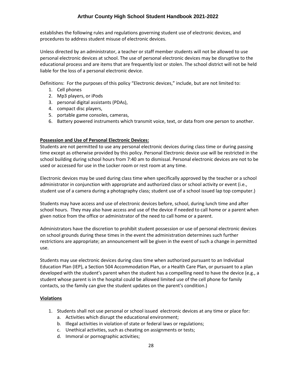establishes the following rules and regulations governing student use of electronic devices, and procedures to address student misuse of electronic devices.

Unless directed by an administrator, a teacher or staff member students will not be allowed to use personal electronic devices at school. The use of personal electronic devices may be disruptive to the educational process and are items that are frequently lost or stolen. The school district will not be held liable for the loss of a personal electronic device.

Definitions: For the purposes of this policy "Electronic devices," include, but are not limited to:

- 1. Cell phones
- 2. Mp3 players, or iPods
- 3. personal digital assistants (PDAs),
- 4. compact disc players,
- 5. portable game consoles, cameras,
- 6. Battery powered instruments which transmit voice, text, or data from one person to another.

#### **Possession and Use of Personal Electronic Devices:**

Students are not permitted to use any personal electronic devices during class time or during passing time except as otherwise provided by this policy. Personal Electronic device use will be restricted in the school building during school hours from 7:40 am to dismissal. Personal electronic devices are not to be used or accessed for use in the Locker room or rest room at any time.

Electronic devices may be used during class time when specifically approved by the teacher or a school administrator in conjunction with appropriate and authorized class or school activity or event (i.e., student use of a camera during a photography class; student use of a school issued lap top computer.)

Students may have access and use of electronic devices before, school, during lunch time and after school hours. They may also have access and use of the device if needed to call home or a parent when given notice from the office or administrator of the need to call home or a parent.

Administrators have the discretion to prohibit student possession or use of personal electronic devices on school grounds during these times in the event the administration determines such further restrictions are appropriate; an announcement will be given in the event of such a change in permitted use.

Students may use electronic devices during class time when authorized pursuant to an Individual Education Plan (IEP), a Section 504 Accommodation Plan, or a Health Care Plan, or pursuant to a plan developed with the student's parent when the student has a compelling need to have the device (e.g., a student whose parent is in the hospital could be allowed limited use of the cell phone for family contacts, so the family can give the student updates on the parent's condition.)

#### **Violations**

- 1. Students shall not use personal or school issued electronic devices at any time or place for:
	- a. Activities which disrupt the educational environment;
	- b. Illegal activities in violation of state or federal laws or regulations;
	- c. Unethical activities, such as cheating on assignments or tests;
	- d. Immoral or pornographic activities;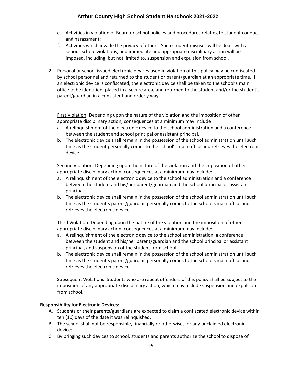- e. Activities in violation of Board or school policies and procedures relating to student conduct and harassment;
- f. Activities which invade the privacy of others. Such student misuses will be dealt with as serious school violations, and immediate and appropriate disciplinary action will be imposed, including, but not limited to, suspension and expulsion from school.
- 2. Personal or school issued electronic devices used in violation of this policy may be confiscated by school personnel and returned to the student or parent/guardian at an appropriate time. If an electronic device is confiscated, the electronic device shall be taken to the school's main office to be identified, placed in a secure area, and returned to the student and/or the student's parent/guardian in a consistent and orderly way.

First Violation: Depending upon the nature of the violation and the imposition of other appropriate disciplinary action, consequences at a minimum may include

- a. A relinquishment of the electronic device to the school administration and a conference between the student and school principal or assistant principal.
- b. The electronic device shall remain in the possession of the school administration until such time as the student personally comes to the school's main office and retrieves the electronic device.

Second Violation: Depending upon the nature of the violation and the imposition of other appropriate disciplinary action, consequences at a minimum may include:

- a. A relinquishment of the electronic device to the school administration and a conference between the student and his/her parent/guardian and the school principal or assistant principal.
- b. The electronic device shall remain in the possession of the school administration until such time as the student's parent/guardian personally comes to the school's main office and retrieves the electronic device.

Third Violation: Depending upon the nature of the violation and the imposition of other appropriate disciplinary action, consequences at a minimum may include:

- a. A relinquishment of the electronic device to the school administration, a conference between the student and his/her parent/guardian and the school principal or assistant principal, and suspension of the student from school.
- b. The electronic device shall remain in the possession of the school administration until such time as the student's parent/guardian personally comes to the school's main office and retrieves the electronic device.

Subsequent Violations: Students who are repeat offenders of this policy shall be subject to the imposition of any appropriate disciplinary action, which may include suspension and expulsion from school.

# **Responsibility for Electronic Devices:**

- A. Students or their parents/guardians are expected to claim a confiscated electronic device within ten (10) days of the date it was relinquished.
- B. The school shall not be responsible, financially or otherwise, for any unclaimed electronic devices.
- C. By bringing such devices to school, students and parents authorize the school to dispose of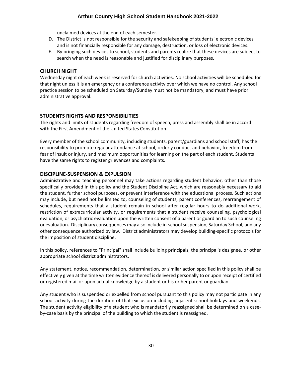unclaimed devices at the end of each semester.

- D. The District is not responsible for the security and safekeeping of students' electronic devices and is not financially responsible for any damage, destruction, or loss of electronic devices.
- E. By bringing such devices to school, students and parents realize that these devices are subject to search when the need is reasonable and justified for disciplinary purposes.

#### <span id="page-29-0"></span>**CHURCH NIGHT**

Wednesday night of each week is reserved for church activities. No school activities will be scheduled for that night unless it is an emergency or a conference activity over which we have no control. Any school practice session to be scheduled on Saturday/Sunday must not be mandatory, and must have prior administrative approval.

# <span id="page-29-1"></span>**STUDENTS RIGHTS AND RESPONSIBILITIES**

The rights and limits of students regarding freedom of speech, press and assembly shall be in accord with the First Amendment of the United States Constitution.

Every member of the school community, including students, parent/guardians and school staff, has the responsibility to promote regular attendance at school, orderly conduct and behavior, freedom from fear of insult or injury, and maximum opportunities for learning on the part of each student. Students have the same rights to register grievances and complaints.

#### <span id="page-29-2"></span>**DISCIPLINE-SUSPENSION & EXPULSION**

Administrative and teaching personnel may take actions regarding student behavior, other than those specifically provided in this policy and the Student Discipline Act, which are reasonably necessary to aid the student, further school purposes, or prevent interference with the educational process. Such actions may include, but need not be limited to, counseling of students, parent conferences, rearrangement of schedules, requirements that a student remain in school after regular hours to do additional work, restriction of extracurricular activity, or requirements that a student receive counseling, psychological evaluation, or psychiatric evaluation upon the written consent of a parent or guardian to such counseling or evaluation. Disciplinary consequences may also include in-school suspension, Saturday School, and any other consequence authorized by law. District administrators may develop building-specific protocols for the imposition of student discipline.

In this policy, references to "Principal" shall include building principals, the principal's designee, or other appropriate school district administrators.

Any statement, notice, recommendation, determination, or similar action specified in this policy shall be effectively given at the time written evidence thereof is delivered personally to or upon receipt of certified or registered mail or upon actual knowledge by a student or his or her parent or guardian.

Any student who is suspended or expelled from school pursuant to this policy may not participate in any school activity during the duration of that exclusion including adjacent school holidays and weekends. The student activity eligibility of a student who is mandatorily reassigned shall be determined on a caseby-case basis by the principal of the building to which the student is reassigned.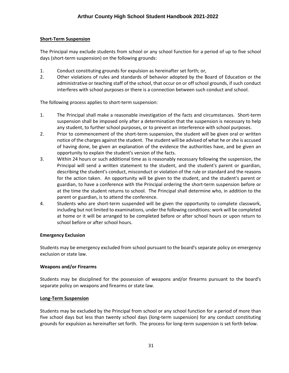# **Short-Term Suspension**

The Principal may exclude students from school or any school function for a period of up to five school days (short-term suspension) on the following grounds:

- 1. Conduct constituting grounds for expulsion as hereinafter set forth; or,
- 2. Other violations of rules and standards of behavior adopted by the Board of Education or the administrative or teaching staff of the school, that occur on or off school grounds, if such conduct interferes with school purposes or there is a connection between such conduct and school.

The following process applies to short-term suspension:

- 1. The Principal shall make a reasonable investigation of the facts and circumstances. Short-term suspension shall be imposed only after a determination that the suspension is necessary to help any student, to further school purposes, or to prevent an interference with school purposes.
- 2. Prior to commencement of the short-term suspension, the student will be given oral or written notice of the charges against the student. The student will be advised of what he or she is accused of having done, be given an explanation of the evidence the authorities have, and be given an opportunity to explain the student's version of the facts.
- 3. Within 24 hours or such additional time as is reasonably necessary following the suspension, the Principal will send a written statement to the student, and the student's parent or guardian, describing the student's conduct, misconduct or violation of the rule or standard and the reasons for the action taken. An opportunity will be given to the student, and the student's parent or guardian, to have a conference with the Principal ordering the short-term suspension before or at the time the student returns to school. The Principal shall determine who, in addition to the parent or guardian, is to attend the conference.
- 4. Students who are short-term suspended will be given the opportunity to complete classwork, including but not limited to examinations, under the following conditions: work will be completed at home or it will be arranged to be completed before or after school hours or upon return to school before or after school hours.

# **Emergency Exclusion**

Students may be emergency excluded from school pursuant to the board's separate policy on emergency exclusion or state law.

# **Weapons and/or Firearms**

Students may be disciplined for the possession of weapons and/or firearms pursuant to the board's separate policy on weapons and firearms or state law.

# **Long-Term Suspension**

Students may be excluded by the Principal from school or any school function for a period of more than five school days but less than twenty school days (long-term suspension) for any conduct constituting grounds for expulsion as hereinafter set forth. The process for long-term suspension is set forth below.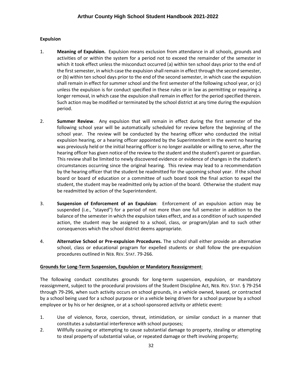#### **Expulsion**

- 1. **Meaning of Expulsion.** Expulsion means exclusion from attendance in all schools, grounds and activities of or within the system for a period not to exceed the remainder of the semester in which it took effect unless the misconduct occurred (a) within ten school days prior to the end of the first semester, in which case the expulsion shall remain in effect through the second semester, or (b) within ten school days prior to the end of the second semester, in which case the expulsion shall remain in effect for summer school and the first semester of the following school year, or (c) unless the expulsion is for conduct specified in these rules or in law as permitting or requiring a longer removal, in which case the expulsion shall remain in effect for the period specified therein. Such action may be modified or terminated by the school district at any time during the expulsion period.
- 2. **Summer Review**. Any expulsion that will remain in effect during the first semester of the following school year will be automatically scheduled for review before the beginning of the school year. The review will be conducted by the hearing officer who conducted the initial expulsion hearing, or a hearing officer appointed by the Superintendent in the event no hearing was previously held or the initial hearing officer is no longer available or willing to serve, after the hearing officer has given notice of the review to the student and the student's parent or guardian. This review shall be limited to newly discovered evidence or evidence of changes in the student's circumstances occurring since the original hearing. This review may lead to a recommendation by the hearing officer that the student be readmitted for the upcoming school year. If the school board or board of education or a committee of such board took the final action to expel the student, the student may be readmitted only by action of the board. Otherwise the student may be readmitted by action of the Superintendent.
- 3. **Suspension of Enforcement of an Expulsion**: Enforcement of an expulsion action may be suspended (i.e., "stayed") for a period of not more than one full semester in addition to the balance of the semester in which the expulsion takes effect, and as a condition of such suspended action, the student may be assigned to a school, class, or program/plan and to such other consequences which the school district deems appropriate.
- 4. **Alternative School or Pre-expulsion Procedures.** The school shall either provide an alternative school, class or educational program for expelled students or shall follow the pre-expulsion procedures outlined in NEB. REV. STAT. 79-266.

#### **Grounds for Long-Term Suspension, Expulsion or Mandatory Reassignment**:

The following conduct constitutes grounds for long-term suspension, expulsion, or mandatory reassignment, subject to the procedural provisions of the Student Discipline Act, NEB. REV. STAT. § 79-254 through 79-296, when such activity occurs on school grounds, in a vehicle owned, leased, or contracted by a school being used for a school purpose or in a vehicle being driven for a school purpose by a school employee or by his or her designee, or at a school-sponsored activity or athletic event:

- 1. Use of violence, force, coercion, threat, intimidation, or similar conduct in a manner that constitutes a substantial interference with school purposes;
- 2. Willfully causing or attempting to cause substantial damage to property, stealing or attempting to steal property of substantial value, or repeated damage or theft involving property;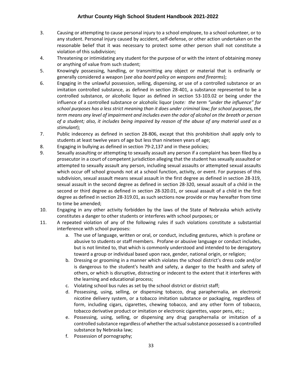- 3. Causing or attempting to cause personal injury to a school employee, to a school volunteer, or to any student. Personal injury caused by accident, self-defense, or other action undertaken on the reasonable belief that it was necessary to protect some other person shall not constitute a violation of this subdivision;
- 4. Threatening or intimidating any student for the purpose of or with the intent of obtaining money or anything of value from such student;
- 5. Knowingly possessing, handling, or transmitting any object or material that is ordinarily or generally considered a weapon (*see also board policy on weapons and firearms*);
- 6. Engaging in the unlawful possession, selling, dispensing, or use of a controlled substance or an imitation controlled substance, as defined in section 28-401, a substance represented to be a controlled substance, or alcoholic liquor as defined in section 53-103.02 or being under the influence of a controlled substance or alcoholic liquor (*note: the term "under the influence" for school purposes has a less strict meaning than it does under criminal law; for school purposes, the term means any level of impairment and includes even the odor of alcohol on the breath or person of a student; also, it includes being impaired by reason of the abuse of any material used as a stimulant*);
- 7. Public indecency as defined in section 28-806, except that this prohibition shall apply only to students at least twelve years of age but less than nineteen years of age;
- 8. Engaging in bullying as defined in section 79-2,137 and in these policies;
- 9. Sexually assaulting or attempting to sexually assault any person if a complaint has been filed by a prosecutor in a court of competent jurisdiction alleging that the student has sexually assaulted or attempted to sexually assault any person, including sexual assaults or attempted sexual assaults which occur off school grounds not at a school function, activity, or event. For purposes of this subdivision, sexual assault means sexual assault in the first degree as defined in section 28-319, sexual assault in the second degree as defined in section 28-320, sexual assault of a child in the second or third degree as defined in section 28-320.01, or sexual assault of a child in the first degree as defined in section 28-319.01, as such sections now provide or may hereafter from time to time be amended;
- 10. Engaging in any other activity forbidden by the laws of the State of Nebraska which activity constitutes a danger to other students or interferes with school purposes; or
- 11. A repeated violation of any of the following rules if such violations constitute a substantial interference with school purposes:
	- a. The use of language, written or oral, or conduct, including gestures, which is profane or abusive to students or staff members. Profane or abusive language or conduct includes, but is not limited to, that which is commonly understood and intended to be derogatory toward a group or individual based upon race, gender, national origin, or religion;
	- b. Dressing or grooming in a manner which violates the school district's dress code and/or is dangerous to the student's health and safety, a danger to the health and safety of others, or which is disruptive, distracting or indecent to the extent that it interferes with the learning and educational process;
	- c. Violating school bus rules as set by the school district or district staff;
	- d. Possessing, using, selling, or dispensing tobacco, drug paraphernalia, an electronic nicotine delivery system, or a tobacco imitation substance or packaging, regardless of form, including cigars, cigarettes, chewing tobacco, and any other form of tobacco, tobacco derivative product or imitation or electronic cigarettes, vapor pens, etc.;
	- e. Possessing, using, selling, or dispensing any drug paraphernalia or imitation of a controlled substance regardless of whether the actual substance possessed is a controlled substance by Nebraska law;
	- f. Possession of pornography;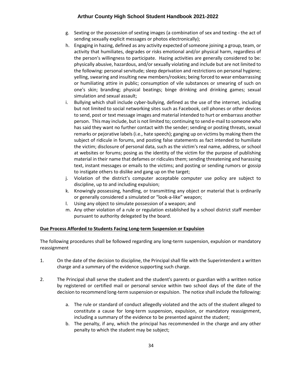- g. Sexting or the possession of sexting images (a combination of sex and texting the act of sending sexually explicit messages or photos electronically);
- h. Engaging in hazing, defined as any activity expected of someone joining a group, team, or activity that humiliates, degrades or risks emotional and/or physical harm, regardless of the person's willingness to participate. Hazing activities are generally considered to be: physically abusive, hazardous, and/or sexually violating and include but are not limited to the following: personal servitude; sleep deprivation and restrictions on personal hygiene; yelling, swearing and insulting new members/rookies; being forced to wear embarrassing or humiliating attire in public; consumption of vile substances or smearing of such on one's skin; branding; physical beatings; binge drinking and drinking games; sexual simulation and sexual assault;
- i. Bullying which shall include cyber-bullying, defined as the use of the internet, including but not limited to social networking sites such as Facebook, cell phones or other devices to send, post or text message images and material intended to hurt or embarrass another person. This may include, but is not limited to; continuing to send e-mail to someone who has said they want no further contact with the sender; sending or posting threats, sexual remarks or pejorative labels (i.e., hate speech); ganging up on victims by making them the subject of ridicule in forums, and posting false statements as fact intended to humiliate the victim; disclosure of personal data, such as the victim's real name, address, or school at websites or forums; posing as the identity of the victim for the purpose of publishing material in their name that defames or ridicules them; sending threatening and harassing text, instant messages or emails to the victims; and posting or sending rumors or gossip to instigate others to dislike and gang up on the target;
- j. Violation of the district's computer acceptable computer use policy are subject to discipline, up to and including expulsion;
- k. Knowingly possessing, handling, or transmitting any object or material that is ordinarily or generally considered a simulated or "look-a-like" weapon;
- l. Using any object to simulate possession of a weapon; and
- m. Any other violation of a rule or regulation established by a school district staff member pursuant to authority delegated by the board.

#### **Due Process Afforded to Students Facing Long-term Suspension or Expulsion**

The following procedures shall be followed regarding any long-term suspension, expulsion or mandatory reassignment

- 1. On the date of the decision to discipline, the Principal shall file with the Superintendent a written charge and a summary of the evidence supporting such charge.
- 2. The Principal shall serve the student and the student's parents or guardian with a written notice by registered or certified mail or personal service within two school days of the date of the decision to recommend long-term suspension or expulsion. The notice shall include the following:
	- a. The rule or standard of conduct allegedly violated and the acts of the student alleged to constitute a cause for long-term suspension, expulsion, or mandatory reassignment, including a summary of the evidence to be presented against the student;
	- b. The penalty, if any, which the principal has recommended in the charge and any other penalty to which the student may be subject;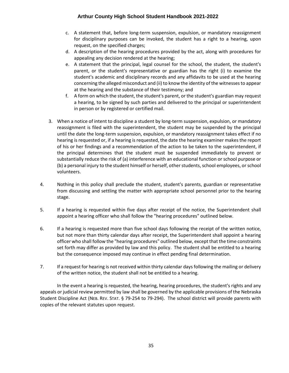- c. A statement that, before long-term suspension, expulsion, or mandatory reassignment for disciplinary purposes can be invoked, the student has a right to a hearing, upon request, on the specified charges;
- d. A description of the hearing procedures provided by the act, along with procedures for appealing any decision rendered at the hearing;
- e. A statement that the principal, legal counsel for the school, the student, the student's parent, or the student's representative or guardian has the right (i) to examine the student's academic and disciplinary records and any affidavits to be used at the hearing concerning the alleged misconduct and (ii) to know the identity of the witnesses to appear at the hearing and the substance of their testimony; and
- f. A form on which the student, the student's parent, or the student's guardian may request a hearing, to be signed by such parties and delivered to the principal or superintendent in person or by registered or certified mail.
- 3. When a notice of intent to discipline a student by long-term suspension, expulsion, or mandatory reassignment is filed with the superintendent, the student may be suspended by the principal until the date the long-term suspension, expulsion, or mandatory reassignment takes effect if no hearing is requested or, if a hearing is requested, the date the hearing examiner makes the report of his or her findings and a recommendation of the action to be taken to the superintendent, if the principal determines that the student must be suspended immediately to prevent or substantially reduce the risk of (a) interference with an educational function or school purpose or (b) a personal injury to the student himself or herself, other students, school employees, or school volunteers.
- 4. Nothing in this policy shall preclude the student, student's parents, guardian or representative from discussing and settling the matter with appropriate school personnel prior to the hearing stage.
- 5. If a hearing is requested within five days after receipt of the notice, the Superintendent shall appoint a hearing officer who shall follow the "hearing procedures" outlined below.
- 6. If a hearing is requested more than five school days following the receipt of the written notice, but not more than thirty calendar days after receipt, the Superintendent shall appoint a hearing officer who shall follow the "hearing procedures" outlined below, except that the time constraints set forth may differ as provided by law and this policy. The student shall be entitled to a hearing but the consequence imposed may continue in effect pending final determination.
- 7. If a request for hearing is not received within thirty calendar days following the mailing or delivery of the written notice, the student shall not be entitled to a hearing.

In the event a hearing is requested, the hearing, hearing procedures, the student's rights and any appeals or judicial review permitted by law shall be governed by the applicable provisions of the Nebraska Student Discipline Act (NEB. REV. STAT. § 79-254 to 79-294). The school district will provide parents with copies of the relevant statutes upon request.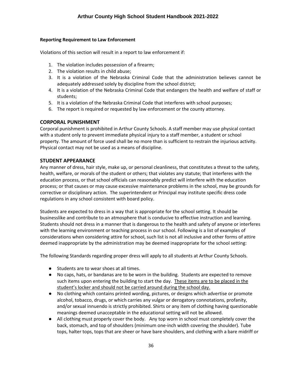#### **Reporting Requirement to Law Enforcement**

Violations of this section will result in a report to law enforcement if:

- 1. The violation includes possession of a firearm;
- 2. The violation results in child abuse;
- 3. It is a violation of the Nebraska Criminal Code that the administration believes cannot be adequately addressed solely by discipline from the school district;
- 4. It is a violation of the Nebraska Criminal Code that endangers the health and welfare of staff or students;
- 5. It is a violation of the Nebraska Criminal Code that interferes with school purposes;
- 6. The report is required or requested by law enforcement or the county attorney.

#### <span id="page-35-0"></span>**CORPORAL PUNISHMENT**

Corporal punishment is prohibited in Arthur County Schools. A staff member may use physical contact with a student only to prevent immediate physical injury to a staff member, a student or school property. The amount of force used shall be no more than is sufficient to restrain the injurious activity. Physical contact may not be used as a means of discipline.

# <span id="page-35-1"></span>**STUDENT APPEARANCE**

Any manner of dress, hair style, make up, or personal cleanliness, that constitutes a threat to the safety, health, welfare, or morals of the student or others; that violates any statute; that interferes with the education process, or that school officials can reasonably predict will interfere with the education process; or that causes or may cause excessive maintenance problems in the school, may be grounds for corrective or disciplinary action. The superintendent or Principal may institute specific dress code regulations in any school consistent with board policy.

Students are expected to dress in a way that is appropriate for the school setting. It should be businesslike and contribute to an atmosphere that is conducive to effective instruction and learning. Students should not dress in a manner that is dangerous to the health and safety of anyone or interferes with the learning environment or teaching process in our school. Following is a list of examples of considerations when considering attire for school, such list is not all inclusive and other forms of attire deemed inappropriate by the administration may be deemed inappropriate for the school setting:

The following Standards regarding proper dress will apply to all students at Arthur County Schools.

- Students are to wear shoes at all times.
- No caps, hats, or bandanas are to be worn in the building. Students are expected to remove such items upon entering the building to start the day. These items are to be placed in the student's locker and should not be carried around during the school day.
- No clothing which contains printed wording, pictures, or designs which advertise or promote alcohol, tobacco, drugs, or which carries any vulgar or derogatory connotations, profanity, and/or sexual innuendo is strictly prohibited. Shirts or any item of clothing having questionable meanings deemed unacceptable in the educational setting will not be allowed.
- All clothing must properly cover the body. Any top worn in school must completely cover the back, stomach, and top of shoulders (minimum one-inch width covering the shoulder). Tube tops, halter tops, tops that are sheer or have bare shoulders, and clothing with a bare midriff or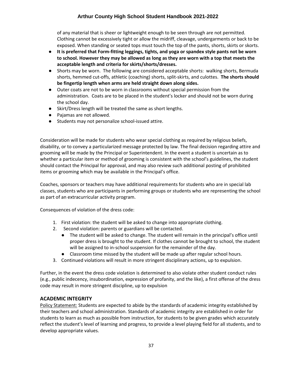of any material that is sheer or lightweight enough to be seen through are not permitted. Clothing cannot be excessively tight or allow the midriff, cleavage, undergarments or back to be exposed. When standing or seated tops must touch the top of the pants, shorts, skirts or skorts.

- **It is preferred that Form-fitting leggings, tights, and yoga or spandex style pants not be worn to school. However they may be allowed as long as they are worn with a top that meets the acceptable length and criteria for skirts/shorts/dresses.**
- Shorts may be worn. The following are considered acceptable shorts: walking shorts, Bermuda shorts, hemmed cut-offs, athletic (coaching) shorts, split-skirts, and culottes. **The shorts should be fingertip length when arms are held straight down along sides.**
- Outer coats are not to be worn in classrooms without special permission from the administration. Coats are to be placed in the student's locker and should not be worn during the school day.
- Skirt/Dress length will be treated the same as short lengths.
- Pajamas are not allowed.
- Students may not personalize school-issued attire.

Consideration will be made for students who wear special clothing as required by religious beliefs, disability, or to convey a particularized message protected by law. The final decision regarding attire and grooming will be made by the Principal or Superintendent. In the event a student is uncertain as to whether a particular item or method of grooming is consistent with the school's guidelines, the student should contact the Principal for approval, and may also review such additional posting of prohibited items or grooming which may be available in the Principal's office.

Coaches, sponsors or teachers may have additional requirements for students who are in special lab classes, students who are participants in performing groups or students who are representing the school as part of an extracurricular activity program.

Consequences of violation of the dress code:

- 1. First violation: the student will be asked to change into appropriate clothing.
- 2. Second violation: parents or guardians will be contacted.
	- The student will be asked to change. The student will remain in the principal's office until proper dress is brought to the student. If clothes cannot be brought to school, the student will be assigned to in-school suspension for the remainder of the day.
	- Classroom time missed by the student will be made up after regular school hours.
- 3. Continued violations will result in more stringent disciplinary actions, up to expulsion.

Further, in the event the dress code violation is determined to also violate other student conduct rules (e.g., public indecency, insubordination, expression of profanity, and the like), a first offense of the dress code may result in more stringent discipline, up to expulsion

# <span id="page-36-0"></span>**ACADEMIC INTEGRITY**

Policy Statement: Students are expected to abide by the standards of academic integrity established by their teachers and school administration. Standards of academic integrity are established in order for students to learn as much as possible from instruction, for students to be given grades which accurately reflect the student's level of learning and progress, to provide a level playing field for all students, and to develop appropriate values.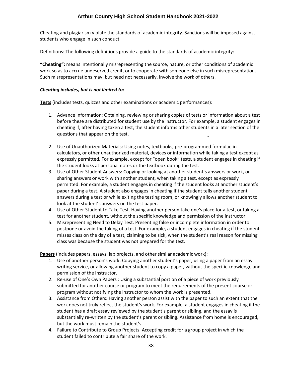Cheating and plagiarism violate the standards of academic integrity. Sanctions will be imposed against students who engage in such conduct.

Definitions: The following definitions provide a guide to the standards of academic integrity:

**"Cheating":** means intentionally misrepresenting the source, nature, or other conditions of academic work so as to accrue undeserved credit, or to cooperate with someone else in such misrepresentation. Such misrepresentations may, but need not necessarily, involve the work of others.

#### *Cheating includes, but is not limited to:*

**Tests** (includes tests, quizzes and other examinations or academic performances):

- 1. Advance Information: Obtaining, reviewing or sharing copies of tests or information about a test before these are distributed for student use by the instructor. For example, a student engages in cheating if, after having taken a test, the student informs other students in a later section of the questions that appear on the test.
- 2. Use of Unauthorized Materials: Using notes, textbooks, pre-programmed formulae in calculators, or other unauthorized material, devices or information while taking a test except as expressly permitted. For example, except for "open book" tests, a student engages in cheating if the student looks at personal notes or the textbook during the test.
- 3. Use of Other Student Answers: Copying or looking at another student's answers or work, or sharing answers or work with another student, when taking a test, except as expressly permitted. For example, a student engages in cheating if the student looks at another student's paper during a test. A student also engages in cheating if the student tells another student answers during a test or while exiting the testing room, or knowingly allows another student to look at the student's answers on the test paper.
- 4. Use of Other Student to Take Test. Having another person take one's place for a test, or taking a test for another student, without the specific knowledge and permission of the instructor
- 5. Misrepresenting Need to Delay Test. Presenting false or incomplete information in order to postpone or avoid the taking of a test. For example, a student engages in cheating if the student misses class on the day of a test, claiming to be sick, when the student's real reason for missing class was because the student was not prepared for the test.

**Papers** (includes papers, essays, lab projects, and other similar academic work):

- 1. Use of another person's work: Copying another student's paper, using a paper from an essay writing service, or allowing another student to copy a paper, without the specific knowledge and permission of the instructor.
- 2. Re-use of One's Own Papers : Using a substantial portion of a piece of work previously submitted for another course or program to meet the requirements of the present course or program without notifying the instructor to whom the work is presented.
- 3. Assistance from Others: Having another person assist with the paper to such an extent that the work does not truly reflect the student's work. For example, a student engages in cheating if the student has a draft essay reviewed by the student's parent or sibling, and the essay is substantially re-written by the student's parent or sibling. Assistance from home is encouraged, but the work must remain the student's.
- 4. Failure to Contribute to Group Projects. Accepting credit for a group project in which the student failed to contribute a fair share of the work.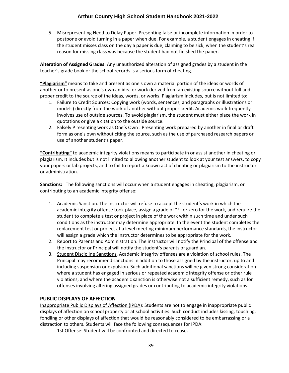5. Misrepresenting Need to Delay Paper. Presenting false or incomplete information in order to postpone or avoid turning in a paper when due. For example, a student engages in cheating if the student misses class on the day a paper is due, claiming to be sick, when the student's real reason for missing class was because the student had not finished the paper.

**Alteration of Assigned Grades**: Any unauthorized alteration of assigned grades by a student in the teacher's grade book or the school records is a serious form of cheating.

**"Plagiarism"** means to take and present as one's own a material portion of the ideas or words of another or to present as one's own an idea or work derived from an existing source without full and proper credit to the source of the ideas, words, or works. Plagiarism includes, but is not limited to:

- 1. Failure to Credit Sources: Copying work (words, sentences, and paragraphs or illustrations or models) directly from the work of another without proper credit. Academic work frequently involves use of outside sources. To avoid plagiarism, the student must either place the work in quotations or give a citation to the outside source.
- 2. Falsely P resenting work as One's Own : Presenting work prepared by another in final or draft form as one's own without citing the source, such as the use of purchased research papers or use of another student's paper.

**"Contributing"** to academic integrity violations means to participate in or assist another in cheating or plagiarism. It includes but is not limited to allowing another student to look at your test answers, to copy your papers or lab projects, and to fail to report a known act of cheating or plagiarism to the instructor or administration.

**Sanctions:** The following sanctions will occur when a student engages in cheating, plagiarism, or contributing to an academic integrity offense:

- 1. Academic Sanction. The instructor will refuse to accept the student's work in which the academic integrity offense took place, assign a grade of "F" or zero for the work, and require the student to complete a test or project in place of the work within such time and under such conditions as the instructor may determine appropriate. In the event the student completes the replacement test or project at a level meeting minimum performance standards, the instructor will assign a grade which the instructor determines to be appropriate for the work.
- 2. Report to Parents and Administration. The instructor will notify the Principal of the offense and the instructor or Principal will notify the student's parents or guardian.
- 3. Student Discipline Sanctions. Academic integrity offenses are a violation of school rules. The Principal may recommend sanctions in addition to those assigned by the instructor, up to and including suspension or expulsion. Such additional sanctions will be given strong consideration where a student has engaged in serious or repeated academic integrity offense or other rule violations, and where the academic sanction is otherwise not a sufficient remedy, such as for offenses involving altering assigned grades or contributing to academic integrity violations.

# <span id="page-38-0"></span>**PUBLIC DISPLAYS OF AFFECTION**

Inappropriate Public Displays of Affection (IPDA): Students are not to engage in inappropriate public displays of affection on school property or at school activities. Such conduct includes kissing, touching, fondling or other displays of affection that would be reasonably considered to be embarrassing or a distraction to others. Students will face the following consequences for IPDA:

1st Offense: Student will be confronted and directed to cease.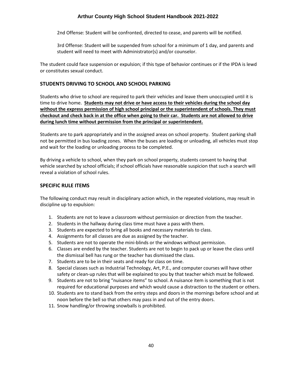2nd Offense: Student will be confronted, directed to cease, and parents will be notified.

3rd Offense: Student will be suspended from school for a minimum of 1 day, and parents and student will need to meet with Administrator(s) and/or counselor.

The student could face suspension or expulsion; if this type of behavior continues or if the IPDA is lewd or constitutes sexual conduct.

# <span id="page-39-0"></span>**STUDENTS DRIVING TO SCHOOL AND SCHOOL PARKING**

Students who drive to school are required to park their vehicles and leave them unoccupied until it is time to drive home. **Students may not drive or have access to their vehicles during the school day without the express permission of high school principal or the superintendent of schools. They must checkout and check back in at the office when going to their car. Students are not allowed to drive during lunch time without permission from the principal or superintendent.** 

Students are to park appropriately and in the assigned areas on school property. Student parking shall not be permitted in bus loading zones. When the buses are loading or unloading, all vehicles must stop and wait for the loading or unloading process to be completed.

By driving a vehicle to school, when they park on school property, students consent to having that vehicle searched by school officials; if school officials have reasonable suspicion that such a search will reveal a violation of school rules.

# <span id="page-39-1"></span>**SPECIFIC RULE ITEMS**

The following conduct may result in disciplinary action which, in the repeated violations, may result in discipline up to expulsion:

- 1. Students are not to leave a classroom without permission or direction from the teacher.
- 2. Students in the hallway during class time must have a pass with them.
- 3. Students are expected to bring all books and necessary materials to class.
- 4. Assignments for all classes are due as assigned by the teacher.
- 5. Students are not to operate the mini-blinds or the windows without permission.
- 6. Classes are ended by the teacher. Students are not to begin to pack up or leave the class until the dismissal bell has rung or the teacher has dismissed the class.
- 7. Students are to be in their seats and ready for class on time.
- 8. Special classes such as Industrial Technology, Art, P.E., and computer courses will have other safety or clean-up rules that will be explained to you by that teacher which must be followed.
- 9. Students are not to bring "nuisance items" to school. A nuisance item is something that is not required for educational purposes and which would cause a distraction to the student or others.
- 10. Students are to stand back from the entry steps and doors in the mornings before school and at noon before the bell so that others may pass in and out of the entry doors.
- 11. Snow handling/or throwing snowballs is prohibited.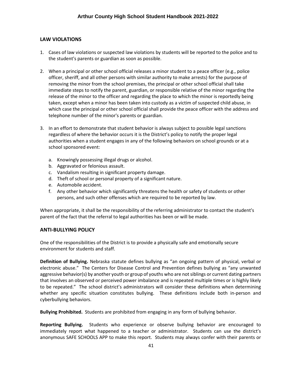# <span id="page-40-0"></span>**LAW VIOLATIONS**

- 1. Cases of law violations or suspected law violations by students will be reported to the police and to the student's parents or guardian as soon as possible.
- 2. When a principal or other school official releases a minor student to a peace officer (e.g., police officer, sheriff, and all other persons with similar authority to make arrests) for the purpose of removing the minor from the school premises, the principal or other school official shall take immediate steps to notify the parent, guardian, or responsible relative of the minor regarding the release of the minor to the officer and regarding the place to which the minor is reportedly being taken, except when a minor has been taken into custody as a victim of suspected child abuse, in which case the principal or other school official shall provide the peace officer with the address and telephone number of the minor's parents or guardian.
- 3. In an effort to demonstrate that student behavior is always subject to possible legal sanctions regardless of where the behavior occurs it is the District's policy to notify the proper legal authorities when a student engages in any of the following behaviors on school grounds or at a school sponsored event:
	- a. Knowingly possessing illegal drugs or alcohol.
	- b. Aggravated or felonious assault.
	- c. Vandalism resulting in significant property damage.
	- d. Theft of school or personal property of a significant nature.
	- e. Automobile accident.
	- f. Any other behavior which significantly threatens the health or safety of students or other persons, and such other offenses which are required to be reported by law.

When appropriate, it shall be the responsibility of the referring administrator to contact the student's parent of the fact that the referral to legal authorities has been or will be made.

#### <span id="page-40-1"></span>**ANTI-BULLYING POLICY**

One of the responsibilities of the District is to provide a physically safe and emotionally secure environment for students and staff.

**Definition of Bullying.** Nebraska statute defines bullying as "an ongoing pattern of physical, verbal or electronic abuse." The Centers for Disease Control and Prevention defines bullying as "any unwanted aggressive behavior(s) by another youth or group of youths who are not siblings or current dating partners that involves an observed or perceived power imbalance and is repeated multiple times or is highly likely to be repeated." The school district's administrators will consider these definitions when determining whether any specific situation constitutes bullying. These definitions include both in-person and cyberbullying behaviors.

**Bullying Prohibited.** Students are prohibited from engaging in any form of bullying behavior.

**Reporting Bullying.** Students who experience or observe bullying behavior are encouraged to immediately report what happened to a teacher or administrator. Students can use the district's anonymous SAFE SCHOOLS APP to make this report. Students may always confer with their parents or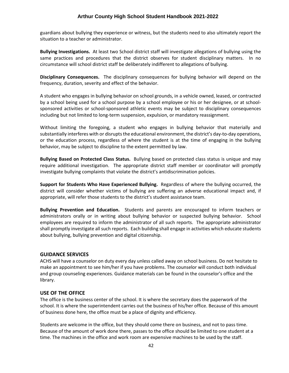guardians about bullying they experience or witness, but the students need to also ultimately report the situation to a teacher or administrator.

**Bullying Investigations.** At least two School district staff will investigate allegations of bullying using the same practices and procedures that the district observes for student disciplinary matters. In no circumstance will school district staff be deliberately indifferent to allegations of bullying.

**Disciplinary Consequences.** The disciplinary consequences for bullying behavior will depend on the frequency, duration, severity and effect of the behavior.

A student who engages in bullying behavior on school grounds, in a vehicle owned, leased, or contracted by a school being used for a school purpose by a school employee or his or her designee, or at schoolsponsored activities or school-sponsored athletic events may be subject to disciplinary consequences including but not limited to long-term suspension, expulsion, or mandatory reassignment.

Without limiting the foregoing, a student who engages in bullying behavior that materially and substantially interferes with or disrupts the educational environment, the district's day-to-day operations, or the education process, regardless of where the student is at the time of engaging in the bullying behavior, may be subject to discipline to the extent permitted by law.

**Bullying Based on Protected Class Status.** Bullying based on protected class status is unique and may require additional investigation. The appropriate district staff member or coordinator will promptly investigate bullying complaints that violate the district's antidiscrimination policies.

**Support for Students Who Have Experienced Bullying.** Regardless of where the bullying occurred, the district will consider whether victims of bullying are suffering an adverse educational impact and, if appropriate, will refer those students to the district's student assistance team.

**Bullying Prevention and Education.** Students and parents are encouraged to inform teachers or administrators orally or in writing about bullying behavior or suspected bullying behavior. School employees are required to inform the administrator of all such reports. The appropriate administrator shall promptly investigate all such reports. Each building shall engage in activities which educate students about bullying, bullying prevention and digital citizenship.

#### <span id="page-41-0"></span>**GUIDANCE SERVICES**

ACHS will have a counselor on duty every day unless called away on school business. Do not hesitate to make an appointment to see him/her if you have problems. The counselor will conduct both individual and group counseling experiences. Guidance materials can be found in the counselor's office and the library.

#### <span id="page-41-1"></span>**USE OF THE OFFICE**

The office is the business center of the school. It is where the secretary does the paperwork of the school. It is where the superintendent carries out the business of his/her office. Because of this amount of business done here, the office must be a place of dignity and efficiency.

Students are welcome in the office, but they should come there on business, and not to pass time. Because of the amount of work done there, passes to the office should be limited to one student at a time. The machines in the office and work room are expensive machines to be used by the staff.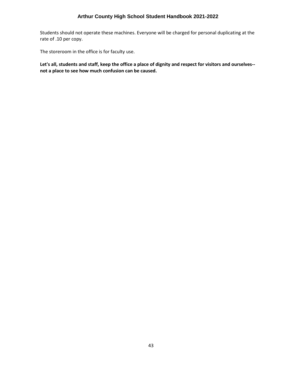Students should not operate these machines. Everyone will be charged for personal duplicating at the rate of .10 per copy.

The storeroom in the office is for faculty use.

**Let's all, students and staff, keep the office a place of dignity and respect for visitors and ourselves- not a place to see how much confusion can be caused.**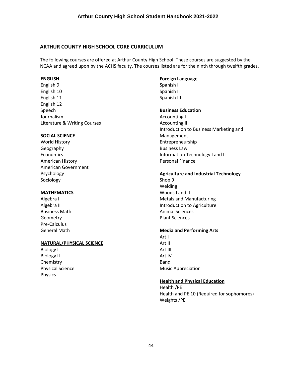#### <span id="page-43-0"></span>**ARTHUR COUNTY HIGH SCHOOL CORE CURRICULUM**

The following courses are offered at Arthur County High School. These courses are suggested by the NCAA and agreed upon by the ACHS faculty. The courses listed are for the ninth through twelfth grades.

#### **ENGLISH**

English 9 English 10 English 11 English 12 Speech Journalism Literature & Writing Courses

#### **SOCIAL SCIENCE**

World History Geography Economics American History American Government Psychology Sociology

#### **MATHEMATICS**

Algebra I Algebra II Business Math Geometry Pre-Calculus General Math

# **NATURAL/PHYSICAL SCIENCE**

Biology I Biology II Chemistry Physical Science Physics

#### **Foreign Language**

Spanish I Spanish II Spanish III

#### **Business Education**

Accounting I Accounting II Introduction to Business Marketing and Management Entrepreneurship Business Law Information Technology I and II Personal Finance

#### **Agriculture and Industrial Technology**

Shop 9 Welding Woods I and II Metals and Manufacturing Introduction to Agriculture Animal Sciences Plant Sciences

#### **Media and Performing Arts**

Art I Art II Art III Art IV Band Music Appreciation

# **Health and Physical Education**

Health /PE Health and PE 10 (Required for sophomores) Weights /PE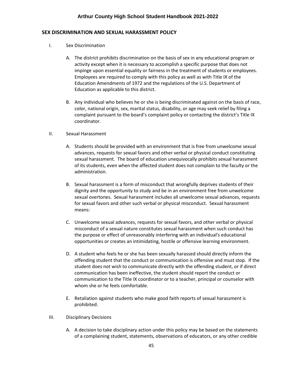# <span id="page-44-0"></span>**SEX DISCRIMINATION AND SEXUAL HARASSMENT POLICY**

- I. Sex Discrimination
	- A. The district prohibits discrimination on the basis of sex in any educational program or activity except when it is necessary to accomplish a specific purpose that does not impinge upon essential equality or fairness in the treatment of students or employees. Employees are required to comply with this policy as well as with Title IX of the Education Amendments of 1972 and the regulations of the U.S. Department of Education as applicable to this district.
	- B. Any individual who believes he or she is being discriminated against on the basis of race, color, national origin, sex, marital status, disability, or age may seek relief by filing a complaint pursuant to the board's complaint policy or contacting the district's Title IX coordinator.
- II. Sexual Harassment
	- A. Students should be provided with an environment that is free from unwelcome sexual advances, requests for sexual favors and other verbal or physical conduct constituting sexual harassment. The board of education unequivocally prohibits sexual harassment of its students, even when the affected student does not complain to the faculty or the administration.
	- B. Sexual harassment is a form of misconduct that wrongfully deprives students of their dignity and the opportunity to study and be in an environment free from unwelcome sexual overtones. Sexual harassment includes all unwelcome sexual advances, requests for sexual favors and other such verbal or physical misconduct. Sexual harassment means:
	- C. Unwelcome sexual advances, requests for sexual favors, and other verbal or physical misconduct of a sexual nature constitutes sexual harassment when such conduct has the purpose or effect of unreasonably interfering with an individual's educational opportunities or creates an intimidating, hostile or offensive learning environment.
	- D. A student who feels he or she has been sexually harassed should directly inform the offending student that the conduct or communication is offensive and must stop. If the student does not wish to communicate directly with the offending student, or if direct communication has been ineffective, the student should report the conduct or communication to the Title IX coordinator or to a teacher, principal or counselor with whom she or he feels comfortable.
	- E. Retaliation against students who make good faith reports of sexual harassment is prohibited.
- III. Disciplinary Decisions
	- A. A decision to take disciplinary action under this policy may be based on the statements of a complaining student, statements, observations of educators, or any other credible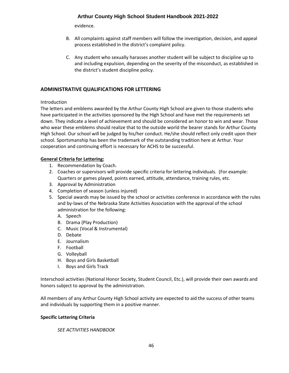evidence.

- B. All complaints against staff members will follow the investigation, decision, and appeal process established in the district's complaint policy.
- C. Any student who sexually harasses another student will be subject to discipline up to and including expulsion, depending on the severity of the misconduct, as established in the district's student discipline policy.

# <span id="page-45-0"></span>**ADMINISTRATIVE QUALIFICATIONS FOR LETTERING**

#### Introduction

The letters and emblems awarded by the Arthur County High School are given to those students who have participated in the activities sponsored by the High School and have met the requirements set down. They indicate a level of achievement and should be considered an honor to win and wear. Those who wear these emblems should realize that to the outside world the bearer stands for Arthur County High School. Our school will be judged by his/her conduct. He/she should reflect only credit upon their school. Sportsmanship has been the trademark of the outstanding tradition here at Arthur. Your cooperation and continuing effort is necessary for ACHS to be successful.

#### **General Criteria for Lettering:**

- 1. Recommendation by Coach.
- 2. Coaches or supervisors will provide specific criteria for lettering individuals. (For example: Quarters or games played, points earned, attitude, attendance, training rules, etc.
- 3. Approval by Administration
- 4. Completion of season (unless injured)
- 5. Special awards may be issued by the school or activities conference in accordance with the rules and by-laws of the Nebraska State Activities Association with the approval of the school administration for the following:
	- A. Speech
	- B. Drama (Play Production)
	- C. Music (Vocal & Instrumental)
	- D. Debate
	- E. Journalism
	- F. Football
	- G. Volleyball
	- H. Boys and Girls Basketball
	- I. Boys and Girls Track

Interschool activities (National Honor Society, Student Council, Etc.), will provide their own awards and honors subject to approval by the administration.

All members of any Arthur County High School activity are expected to aid the success of other teams and individuals by supporting them in a positive manner.

#### **Specific Lettering Criteria**

*SEE ACTIVITIES HANDBOOK*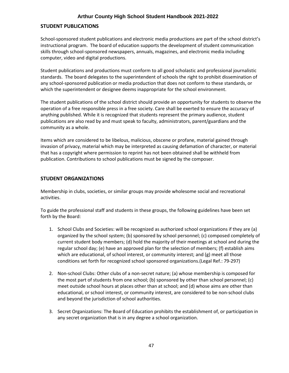#### <span id="page-46-0"></span>**STUDENT PUBLICATIONS**

School-sponsored student publications and electronic media productions are part of the school district's instructional program. The board of education supports the development of student communication skills through school-sponsored newspapers, annuals, magazines, and electronic media including computer, video and digital productions.

Student publications and productions must conform to all good scholastic and professional journalistic standards. The board delegates to the superintendent of schools the right to prohibit dissemination of any school-sponsored publication or media production that does not conform to these standards, or which the superintendent or designee deems inappropriate for the school environment.

The student publications of the school district should provide an opportunity for students to observe the operation of a free responsible press in a free society. Care shall be exerted to ensure the accuracy of anything published. While it is recognized that students represent the primary audience, student publications are also read by and must speak to faculty, administrators, parent/guardians and the community as a whole.

Items which are considered to be libelous, malicious, obscene or profane, material gained through invasion of privacy, material which may be interpreted as causing defamation of character, or material that has a copyright where permission to reprint has not been obtained shall be withheld from publication. Contributions to school publications must be signed by the composer.

#### <span id="page-46-1"></span>**STUDENT ORGANIZATIONS**

Membership in clubs, societies, or similar groups may provide wholesome social and recreational activities.

To guide the professional staff and students in these groups, the following guidelines have been set forth by the Board:

- 1. School Clubs and Societies: will be recognized as authorized school organizations if they are (a) organized by the school system; (b) sponsored by school personnel; (c) composed completely of current student body members; (d) hold the majority of their meetings at school and during the regular school day; (e) have an approved plan for the selection of members; (f) establish aims which are educational, of school interest, or community interest; and (g) meet all those conditions set forth for recognized school sponsored organizations.(Legal Ref.: 79-297)
- 2. Non-school Clubs: Other clubs of a non-secret nature; (a) whose membership is composed for the most part of students from one school; (b) sponsored by other than school personnel; (c) meet outside school hours at places other than at school; and (d) whose aims are other than educational, or school interest, or community interest, are considered to be non-school clubs and beyond the jurisdiction of school authorities.
- <span id="page-46-2"></span>3. Secret Organizations: The Board of Education prohibits the establishment of, or participation in any secret organization that is in any degree a school organization.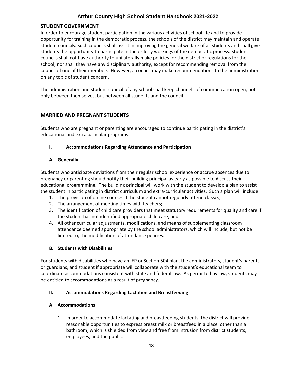# **STUDENT GOVERNMENT**

In order to encourage student participation in the various activities of school life and to provide opportunity for training in the democratic process, the schools of the district may maintain and operate student councils. Such councils shall assist in improving the general welfare of all students and shall give students the opportunity to participate in the orderly workings of the democratic process. Student councils shall not have authority to unilaterally make policies for the district or regulations for the school; nor shall they have any disciplinary authority, except for recommending removal from the council of one of their members. However, a council may make recommendations to the administration on any topic of student concern.

The administration and student council of any school shall keep channels of communication open, not only between themselves, but between all students and the council

# <span id="page-47-0"></span>**MARRIED AND PREGNANT STUDENTS**

Students who are pregnant or parenting are encouraged to continue participating in the district's educational and extracurricular programs.

#### **I. Accommodations Regarding Attendance and Participation**

#### **A. Generally**

Students who anticipate deviations from their regular school experience or accrue absences due to pregnancy or parenting should notify their building principal as early as possible to discuss their educational programming. The building principal will work with the student to develop a plan to assist the student in participating in district curriculum and extra-curricular activities. Such a plan will include:

- 1. The provision of online courses if the student cannot regularly attend classes;
- 2. The arrangement of meeting times with teachers;
- 3. The identification of child care providers that meet statutory requirements for quality and care if the student has not identified appropriate child care; and
- 4. All other curricular adjustments, modifications, and means of supplementing classroom attendance deemed appropriate by the school administrators, which will include, but not be limited to, the modification of attendance policies.

#### **B. Students with Disabilities**

For students with disabilities who have an IEP or Section 504 plan, the administrators, student's parents or guardians, and student if appropriate will collaborate with the student's educational team to coordinate accommodations consistent with state and federal law. As permitted by law, students may be entitled to accommodations as a result of pregnancy.

#### **II. Accommodations Regarding Lactation and Breastfeeding**

#### **A. Accommodations**

1. In order to accommodate lactating and breastfeeding students, the district will provide reasonable opportunities to express breast milk or breastfeed in a place, other than a bathroom, which is shielded from view and free from intrusion from district students, employees, and the public.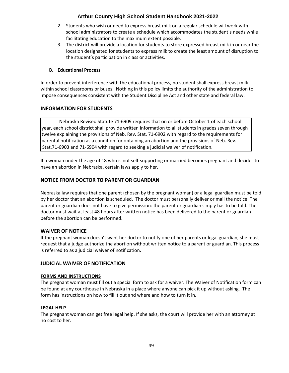- 2. Students who wish or need to express breast milk on a regular schedule will work with school administrators to create a schedule which accommodates the student's needs while facilitating education to the maximum extent possible.
- 3. The district will provide a location for students to store expressed breast milk in or near the location designated for students to express milk to create the least amount of disruption to the student's participation in class or activities.

# **B. Educational Process**

In order to prevent interference with the educational process, no student shall express breast milk within school classrooms or buses. Nothing in this policy limits the authority of the administration to impose consequences consistent with the Student Discipline Act and other state and federal law.

# <span id="page-48-0"></span>**INFORMATION FOR STUDENTS**

Nebraska Revised Statute 71-6909 requires that on or before October 1 of each school year, each school district shall provide written information to all students in grades seven through twelve explaining the provisions of Neb. Rev. Stat. 71-6902 with regard to the requirements for parental notification as a condition for obtaining an abortion and the provisions of Neb. Rev. Stat.71-6903 and 71-6904 with regard to seeking a judicial waiver of notification.

If a woman under the age of 18 who is not self-supporting or married becomes pregnant and decides to have an abortion in Nebraska, certain laws apply to her.

# <span id="page-48-1"></span>**NOTICE FROM DOCTOR TO PARENT OR GUARDIAN**

Nebraska law requires that one parent (chosen by the pregnant woman) or a legal guardian must be told by her doctor that an abortion is scheduled. The doctor must personally deliver or mail the notice. The parent or guardian does not have to give permission: the parent or guardian simply has to be told. The doctor must wait at least 48 hours after written notice has been delivered to the parent or guardian before the abortion can be performed.

# <span id="page-48-2"></span>**WAIVER OF NOTICE**

If the pregnant woman doesn't want her doctor to notify one of her parents or legal guardian, she must request that a judge authorize the abortion without written notice to a parent or guardian. This process is referred to as a judicial waiver of notification.

#### <span id="page-48-3"></span>**JUDICIAL WAIVER OF NOTIFICATION**

#### **FORMS AND INSTRUCTIONS**

The pregnant woman must fill out a special form to ask for a waiver. The Waiver of Notification form can be found at any courthouse in Nebraska in a place where anyone can pick it up without asking. The form has instructions on how to fill it out and where and how to turn it in.

#### **LEGAL HELP**

The pregnant woman can get free legal help. If she asks, the court will provide her with an attorney at no cost to her.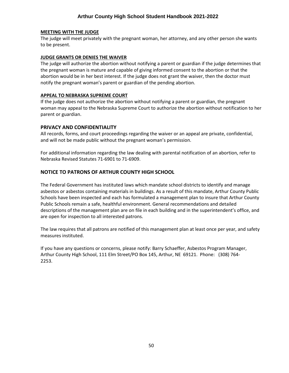#### **MEETING WITH THE JUDGE**

The judge will meet privately with the pregnant woman, her attorney, and any other person she wants to be present.

#### **JUDGE GRANTS OR DENIES THE WAIVER**

The judge will authorize the abortion without notifying a parent or guardian if the judge determines that the pregnant woman is mature and capable of giving informed consent to the abortion or that the abortion would be in her best interest. If the judge does not grant the waiver, then the doctor must notify the pregnant woman's parent or guardian of the pending abortion.

#### **APPEAL TO NEBRASKA SUPREME COURT**

If the judge does not authorize the abortion without notifying a parent or guardian, the pregnant woman may appeal to the Nebraska Supreme Court to authorize the abortion without notification to her parent or guardian.

#### <span id="page-49-0"></span>**PRIVACY AND CONFIDENTIALITY**

All records, forms, and court proceedings regarding the waiver or an appeal are private, confidential, and will not be made public without the pregnant woman's permission.

For additional information regarding the law dealing with parental notification of an abortion, refer to Nebraska Revised Statutes 71-6901 to 71-6909.

#### <span id="page-49-1"></span>**NOTICE TO PATRONS OF ARTHUR COUNTY HIGH SCHOOL**

The Federal Government has instituted laws which mandate school districts to identify and manage asbestos or asbestos containing materials in buildings. As a result of this mandate, Arthur County Public Schools have been inspected and each has formulated a management plan to insure that Arthur County Public Schools remain a safe, healthful environment. General recommendations and detailed descriptions of the management plan are on file in each building and in the superintendent's office, and are open for inspection to all interested patrons.

The law requires that all patrons are notified of this management plan at least once per year, and safety measures instituted.

If you have any questions or concerns, please notify: Barry Schaeffer, Asbestos Program Manager, Arthur County High School, 111 Elm Street/PO Box 145, Arthur, NE 69121. Phone: (308) 764- 2253.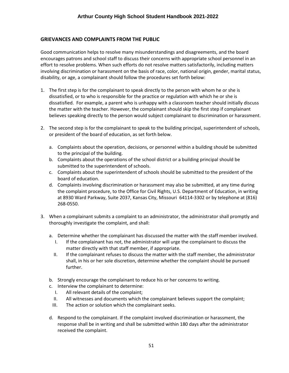# <span id="page-50-0"></span>**GRIEVANCES AND COMPLAINTS FROM THE PUBLIC**

Good communication helps to resolve many misunderstandings and disagreements, and the board encourages patrons and school staff to discuss their concerns with appropriate school personnel in an effort to resolve problems. When such efforts do not resolve matters satisfactorily, including matters involving discrimination or harassment on the basis of race, color, national origin, gender, marital status, disability, or age, a complainant should follow the procedures set forth below:

- 1. The first step is for the complainant to speak directly to the person with whom he or she is dissatisfied, or to who is responsible for the practice or regulation with which he or she is dissatisfied. For example, a parent who is unhappy with a classroom teacher should initially discuss the matter with the teacher. However, the complainant should skip the first step if complainant believes speaking directly to the person would subject complainant to discrimination or harassment.
- 2. The second step is for the complainant to speak to the building principal, superintendent of schools, or president of the board of education, as set forth below.
	- a. Complaints about the operation, decisions, or personnel within a building should be submitted to the principal of the building.
	- b. Complaints about the operations of the school district or a building principal should be submitted to the superintendent of schools.
	- c. Complaints about the superintendent of schools should be submitted to the president of the board of education.
	- d. Complaints involving discrimination or harassment may also be submitted, at any time during the complaint procedure, to the Office for Civil Rights, U.S. Department of Education, in writing at 8930 Ward Parkway, Suite 2037, Kansas City, Missouri 64114-3302 or by telephone at (816) 268-0550.
- 3. When a complainant submits a complaint to an administrator, the administrator shall promptly and thoroughly investigate the complaint, and shall:
	- a. Determine whether the complainant has discussed the matter with the staff member involved.
		- I. If the complainant has not, the administrator will urge the complainant to discuss the matter directly with that staff member, if appropriate.
		- II. If the complainant refuses to discuss the matter with the staff member, the administrator shall, in his or her sole discretion, determine whether the complaint should be pursued further.
	- b. Strongly encourage the complainant to reduce his or her concerns to writing.
	- c. Interview the complainant to determine:
		- I. All relevant details of the complaint;
		- II. All witnesses and documents which the complainant believes support the complaint;
		- III. The action or solution which the complainant seeks.
	- d. Respond to the complainant. If the complaint involved discrimination or harassment, the response shall be in writing and shall be submitted within 180 days after the administrator received the complaint.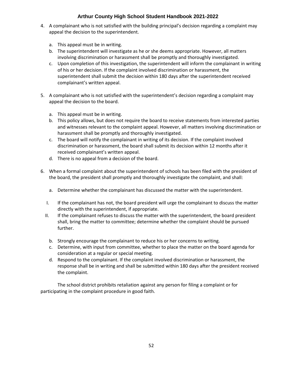- 4. A complainant who is not satisfied with the building principal's decision regarding a complaint may appeal the decision to the superintendent.
	- a. This appeal must be in writing.
	- b. The superintendent will investigate as he or she deems appropriate. However, all matters involving discrimination or harassment shall be promptly and thoroughly investigated.
	- c. Upon completion of this investigation, the superintendent will inform the complainant in writing of his or her decision. If the complaint involved discrimination or harassment, the superintendent shall submit the decision within 180 days after the superintendent received complainant's written appeal.
- 5. A complainant who is not satisfied with the superintendent's decision regarding a complaint may appeal the decision to the board.
	- a. This appeal must be in writing.
	- b. This policy allows, but does not require the board to receive statements from interested parties and witnesses relevant to the complaint appeal. However, all matters involving discrimination or harassment shall be promptly and thoroughly investigated.
	- c. The board will notify the complainant in writing of its decision. If the complaint involved discrimination or harassment, the board shall submit its decision within 12 months after it received complainant's written appeal.
	- d. There is no appeal from a decision of the board.
- 6. When a formal complaint about the superintendent of schools has been filed with the president of the board, the president shall promptly and thoroughly investigate the complaint, and shall:
	- a. Determine whether the complainant has discussed the matter with the superintendent.
	- I. If the complainant has not, the board president will urge the complainant to discuss the matter directly with the superintendent, if appropriate.
	- II. If the complainant refuses to discuss the matter with the superintendent, the board president shall, bring the matter to committee; determine whether the complaint should be pursued further.
		- b. Strongly encourage the complainant to reduce his or her concerns to writing.
		- c. Determine, with input from committee, whether to place the matter on the board agenda for consideration at a regular or special meeting.
		- d. Respond to the complainant. If the complaint involved discrimination or harassment, the response shall be in writing and shall be submitted within 180 days after the president received the complaint.

The school district prohibits retaliation against any person for filing a complaint or for participating in the complaint procedure in good faith.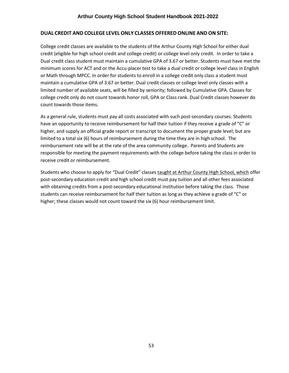#### <span id="page-52-0"></span>**DUAL CREDIT AND COLLEGE LEVEL ONLY CLASSES OFFERED ONLINE AND ON SITE:**

College credit classes are available to the students of the Arthur County High School for either dual credit (eligible for high school credit and college credit) or college level only credit. In order to take a Dual credit class student must maintain a cumulative GPA of 3.67 or better. Students must have met the minimum scores for ACT and or the Accu-placer test to take a dual credit or college level class in English or Math through MPCC. In order for students to enroll in a college credit only class a student must maintain a cumulative GPA of 3.67 or better. Dual credit classes or college level only classes with a limited number of available seats, will be filled by seniority; followed by Cumulative GPA. Classes for college credit only do not count towards honor roll, GPA or Class rank. Dual Credit classes however do count towards those items.

As a general rule, students must pay all costs associated with such post-secondary courses. Students have an opportunity to receive reimbursement for half their tuition if they receive a grade of "C" or higher, and supply an official grade report or transcript to document the proper grade level; but are limited to a total six (6) hours of reimbursement during the time they are in high school. The reimbursement rate will be at the rate of the area community college. Parents and Students are responsible for meeting the payment requirements with the college before taking the class in order to receive credit or reimbursement.

Students who choose to apply for "Dual Credit" classes taught at Arthur County High School, which offer post-secondary education credit and high school credit must pay tuition and all other fees associated with obtaining credits from a post-secondary educational institution before taking the class. Those students can receive reimbursement for half their tuition as long as they achieve a grade of "C" or higher; these classes would not count toward the six (6) hour reimbursement limit.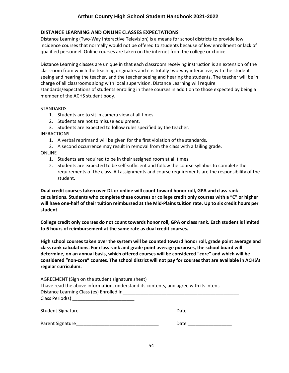# <span id="page-53-0"></span>**DISTANCE LEARNING AND ONLINE CLASSES EXPECTATIONS**

Distance Learning (Two-Way Interactive Television) is a means for school districts to provide low incidence courses that normally would not be offered to students because of low enrollment or lack of qualified personnel. Online courses are taken on the internet from the college or choice.

Distance Learning classes are unique in that each classroom receiving instruction is an extension of the classroom from which the teaching originates and it is totally two-way interactive, with the student seeing and hearing the teacher, and the teacher seeing and hearing the students. The teacher will be in charge of all classrooms along with local supervision. Distance Learning will require standards/expectations of students enrolling in these courses in addition to those expected by being a member of the ACHS student body.

#### **STANDARDS**

- 1. Students are to sit in camera view at all times.
- 2. Students are not to misuse equipment.
- 3. Students are expected to follow rules specified by the teacher.

#### INFRACTIONS

- 1. A verbal reprimand will be given for the first violation of the standards.
- 2. A second occurrence may result in removal from the class with a failing grade.

#### ONLINE

- 1. Students are required to be in their assigned room at all times.
- 2. Students are expected to be self-sufficient and follow the course syllabus to complete the requirements of the class. All assignments and course requirements are the responsibility of the student.

**Dual credit courses taken over DL or online will count toward honor roll, GPA and class rank calculations. Students who complete these courses or college credit only courses with a "C" or higher will have one-half of their tuition reimbursed at the Mid-Plains tuition rate. Up to six credit hours per student.** 

**College credit only courses do not count towards honor roll, GPA or class rank. Each student is limited to 6 hours of reimbursement at the same rate as dual credit courses.**

**High school courses taken over the system will be counted toward honor roll, grade point average and class rank calculations. For class rank and grade point average purposes, the school board will determine, on an annual basis, which offered courses will be considered "core" and which will be considered "non-core" courses. The school district will not pay for courses that are available in ACHS's regular curriculum.**

| AGREEMENT (Sign on the student signature sheet)<br>I have read the above information, understand its contents, and agree with its intent.<br>Distance Learning Class (es) Enrolled In                                            |      |
|----------------------------------------------------------------------------------------------------------------------------------------------------------------------------------------------------------------------------------|------|
|                                                                                                                                                                                                                                  |      |
| Student Signature<br>and the student state of the state of the state of the state of the state of the state of the state of the state of the state of the state of the state of the state of the state of the state of the state | Date |
| Parent Signature                                                                                                                                                                                                                 | Date |